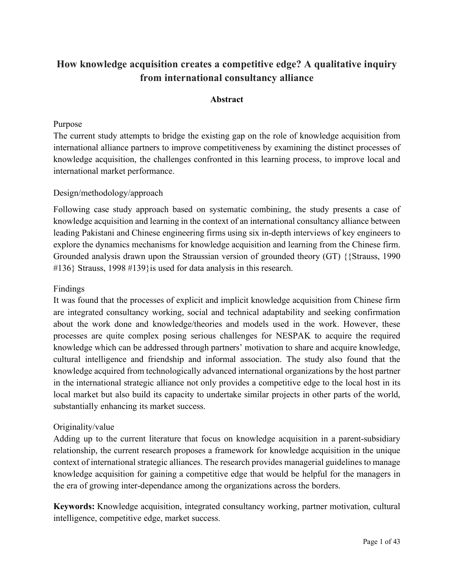# **How knowledge acquisition creates a competitive edge? A qualitative inquiry from international consultancy alliance**

### **Abstract**

### Purpose

The current study attempts to bridge the existing gap on the role of knowledge acquisition from international alliance partners to improve competitiveness by examining the distinct processes of knowledge acquisition, the challenges confronted in this learning process, to improve local and international market performance.

### Design/methodology/approach

Following case study approach based on systematic combining, the study presents a case of knowledge acquisition and learning in the context of an international consultancy alliance between leading Pakistani and Chinese engineering firms using six in-depth interviews of key engineers to explore the dynamics mechanisms for knowledge acquisition and learning from the Chinese firm. Grounded analysis drawn upon the Straussian version of grounded theory (GT) {{Strauss, 1990 #136} Strauss, 1998 #139}is used for data analysis in this research.

### Findings

It was found that the processes of explicit and implicit knowledge acquisition from Chinese firm are integrated consultancy working, social and technical adaptability and seeking confirmation about the work done and knowledge/theories and models used in the work. However, these processes are quite complex posing serious challenges for NESPAK to acquire the required knowledge which can be addressed through partners' motivation to share and acquire knowledge, cultural intelligence and friendship and informal association. The study also found that the knowledge acquired from technologically advanced international organizations by the host partner in the international strategic alliance not only provides a competitive edge to the local host in its local market but also build its capacity to undertake similar projects in other parts of the world, substantially enhancing its market success.

# Originality/value

Adding up to the current literature that focus on knowledge acquisition in a parent-subsidiary relationship, the current research proposes a framework for knowledge acquisition in the unique context of international strategic alliances. The research provides managerial guidelines to manage knowledge acquisition for gaining a competitive edge that would be helpful for the managers in the era of growing inter-dependance among the organizations across the borders.

**Keywords:** Knowledge acquisition, integrated consultancy working, partner motivation, cultural intelligence, competitive edge, market success.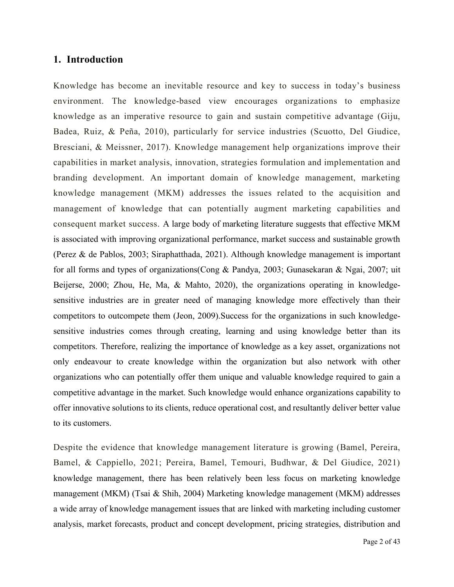### **1. Introduction**

Knowledge has become an inevitable resource and key to success in today's business environment. The knowledge-based view encourages organizations to emphasize knowledge as an imperative resource to gain and sustain competitive advantage (Giju, Badea, Ruiz, & Peña, 2010), particularly for service industries (Scuotto, Del Giudice, Bresciani, & Meissner, 2017). Knowledge management help organizations improve their capabilities in market analysis, innovation, strategies formulation and implementation and branding development. An important domain of knowledge management, marketing knowledge management (MKM) addresses the issues related to the acquisition and management of knowledge that can potentially augment marketing capabilities and consequent market success. A large body of marketing literature suggests that effective MKM is associated with improving organizational performance, market success and sustainable growth (Perez & de Pablos, 2003; Siraphatthada, 2021). Although knowledge management is important for all forms and types of organizations(Cong & Pandya, 2003; Gunasekaran & Ngai, 2007; uit Beijerse, 2000; Zhou, He, Ma, & Mahto, 2020), the organizations operating in knowledgesensitive industries are in greater need of managing knowledge more effectively than their competitors to outcompete them (Jeon, 2009).Success for the organizations in such knowledgesensitive industries comes through creating, learning and using knowledge better than its competitors. Therefore, realizing the importance of knowledge as a key asset, organizations not only endeavour to create knowledge within the organization but also network with other organizations who can potentially offer them unique and valuable knowledge required to gain a competitive advantage in the market. Such knowledge would enhance organizations capability to offer innovative solutions to its clients, reduce operational cost, and resultantly deliver better value to its customers.

Despite the evidence that knowledge management literature is growing (Bamel, Pereira, Bamel, & Cappiello, 2021; Pereira, Bamel, Temouri, Budhwar, & Del Giudice, 2021) knowledge management, there has been relatively been less focus on marketing knowledge management (MKM) (Tsai & Shih, 2004) Marketing knowledge management (MKM) addresses a wide array of knowledge management issues that are linked with marketing including customer analysis, market forecasts, product and concept development, pricing strategies, distribution and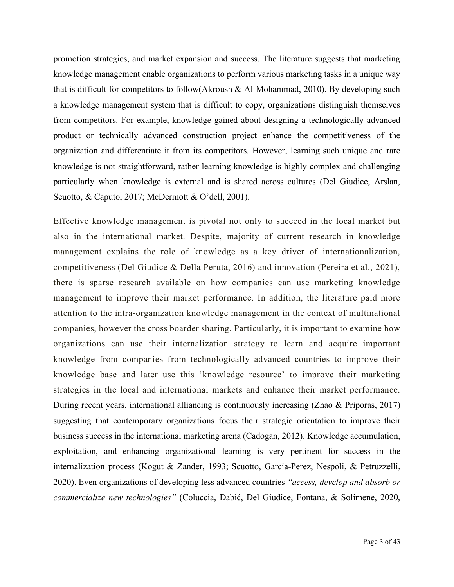promotion strategies, and market expansion and success. The literature suggests that marketing knowledge management enable organizations to perform various marketing tasks in a unique way that is difficult for competitors to follow(Akroush & Al-Mohammad, 2010). By developing such a knowledge management system that is difficult to copy, organizations distinguish themselves from competitors. For example, knowledge gained about designing a technologically advanced product or technically advanced construction project enhance the competitiveness of the organization and differentiate it from its competitors. However, learning such unique and rare knowledge is not straightforward, rather learning knowledge is highly complex and challenging particularly when knowledge is external and is shared across cultures (Del Giudice, Arslan, Scuotto, & Caputo, 2017; McDermott & O'dell, 2001).

Effective knowledge management is pivotal not only to succeed in the local market but also in the international market. Despite, majority of current research in knowledge management explains the role of knowledge as a key driver of internationalization, competitiveness (Del Giudice & Della Peruta, 2016) and innovation (Pereira et al., 2021), there is sparse research available on how companies can use marketing knowledge management to improve their market performance. In addition, the literature paid more attention to the intra-organization knowledge management in the context of multinational companies, however the cross boarder sharing. Particularly, it is important to examine how organizations can use their internalization strategy to learn and acquire important knowledge from companies from technologically advanced countries to improve their knowledge base and later use this 'knowledge resource' to improve their marketing strategies in the local and international markets and enhance their market performance. During recent years, international alliancing is continuously increasing (Zhao & Priporas, 2017) suggesting that contemporary organizations focus their strategic orientation to improve their business success in the international marketing arena (Cadogan, 2012). Knowledge accumulation, exploitation, and enhancing organizational learning is very pertinent for success in the internalization process (Kogut & Zander, 1993; Scuotto, Garcia-Perez, Nespoli, & Petruzzelli, 2020). Even organizations of developing less advanced countries *"access, develop and absorb or commercialize new technologies"* (Coluccia, Dabić, Del Giudice, Fontana, & Solimene, 2020,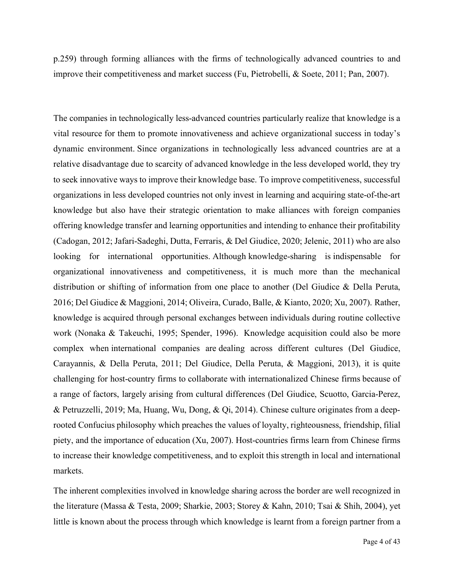p.259) through forming alliances with the firms of technologically advanced countries to and improve their competitiveness and market success (Fu, Pietrobelli, & Soete, 2011; Pan, 2007).

The companies in technologically less-advanced countries particularly realize that knowledge is a vital resource for them to promote innovativeness and achieve organizational success in today's dynamic environment. Since organizations in technologically less advanced countries are at a relative disadvantage due to scarcity of advanced knowledge in the less developed world, they try to seek innovative ways to improve their knowledge base. To improve competitiveness, successful organizations in less developed countries not only invest in learning and acquiring state-of-the-art knowledge but also have their strategic orientation to make alliances with foreign companies offering knowledge transfer and learning opportunities and intending to enhance their profitability (Cadogan, 2012; Jafari-Sadeghi, Dutta, Ferraris, & Del Giudice, 2020; Jelenic, 2011) who are also looking for international opportunities. Although knowledge-sharing is indispensable for organizational innovativeness and competitiveness, it is much more than the mechanical distribution or shifting of information from one place to another (Del Giudice & Della Peruta, 2016; Del Giudice & Maggioni, 2014; Oliveira, Curado, Balle, & Kianto, 2020; Xu, 2007). Rather, knowledge is acquired through personal exchanges between individuals during routine collective work (Nonaka & Takeuchi, 1995; Spender, 1996). Knowledge acquisition could also be more complex when international companies are dealing across different cultures (Del Giudice, Carayannis, & Della Peruta, 2011; Del Giudice, Della Peruta, & Maggioni, 2013), it is quite challenging for host-country firms to collaborate with internationalized Chinese firms because of a range of factors, largely arising from cultural differences (Del Giudice, Scuotto, Garcia-Perez, & Petruzzelli, 2019; Ma, Huang, Wu, Dong, & Qi, 2014). Chinese culture originates from a deeprooted Confucius philosophy which preaches the values of loyalty, righteousness, friendship, filial piety, and the importance of education (Xu, 2007). Host-countries firms learn from Chinese firms to increase their knowledge competitiveness, and to exploit this strength in local and international markets.

The inherent complexities involved in knowledge sharing across the border are well recognized in the literature (Massa & Testa, 2009; Sharkie, 2003; Storey & Kahn, 2010; Tsai & Shih, 2004), yet little is known about the process through which knowledge is learnt from a foreign partner from a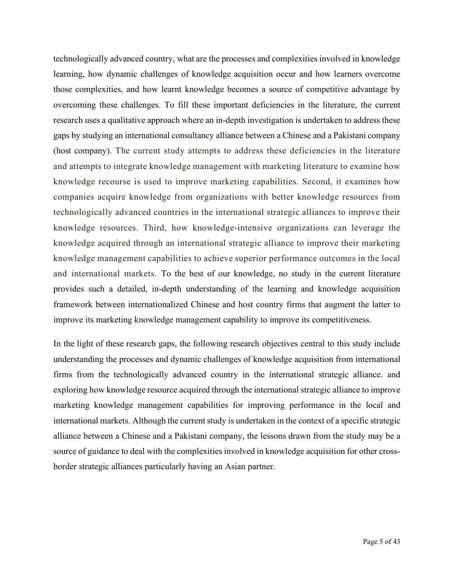technologically advanced country, what are the processes and complexities involved in knowledge learning, how dynamic challenges of knowledge acquisition occur and how learners overcome those complexities, and how learnt knowledge becomes a source of competitive advantage by overcoming these challenges. To fill these important deficiencies in the literature, the current research uses a qualitative approach where an in-depth investigation is undertaken to address these gaps by studying an international consultancy alliance between a Chinese and a Pakistani company (host company). The current study attempts to address these deficiencies in the literature and attempts to integrate knowledge management with marketing literature to examine how knowledge recourse is used to improve marketing capabilities. Second, it examines how companies acquire knowledge from organizations with better knowledge resources from technologically advanced countries in the international strategic alliances to improve their knowledge resources. Third, how knowledge-intensive organizations can leverage the knowledge acquired through an international strategic alliance to improve their marketing knowledge management capabilities to achieve superior performance outcomes in the local and international markets. To the best of our knowledge, no study in the current literature provides such a detailed, in-depth understanding of the learning and knowledge acquisition framework between internationalized Chinese and host country firms that augment the latter to improve its marketing knowledge management capability to improve its competitiveness.

In the light of these research gaps, the following research objectives central to this study include understanding the processes and dynamic challenges of knowledge acquisition from international firms from the technologically advanced country in the international strategic alliance. and exploring how knowledge resource acquired through the international strategic alliance to improve marketing knowledge management capabilities for improving performance in the local and international markets. Although the current study is undertaken in the context of a specific strategic alliance between a Chinese and a Pakistani company, the lessons drawn from the study may be a source of guidance to deal with the complexities involved in knowledge acquisition for other crossborder strategic alliances particularly having an Asian partner.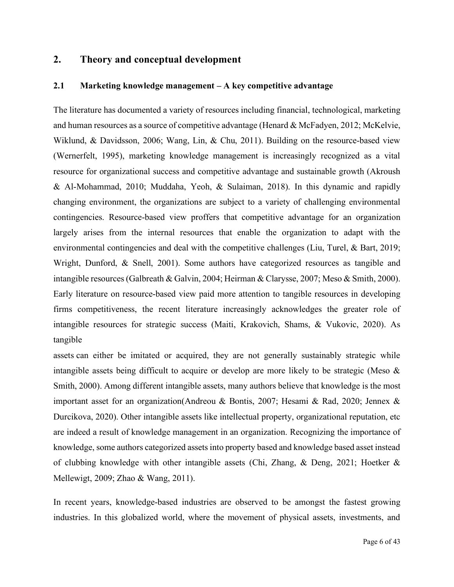### **2. Theory and conceptual development**

### **2.1 Marketing knowledge management – A key competitive advantage**

The literature has documented a variety of resources including financial, technological, marketing and human resources as a source of competitive advantage (Henard & McFadyen, 2012; McKelvie, Wiklund, & Davidsson, 2006; Wang, Lin, & Chu, 2011). Building on the resource-based view (Wernerfelt, 1995), marketing knowledge management is increasingly recognized as a vital resource for organizational success and competitive advantage and sustainable growth (Akroush & Al‐Mohammad, 2010; Muddaha, Yeoh, & Sulaiman, 2018). In this dynamic and rapidly changing environment, the organizations are subject to a variety of challenging environmental contingencies. Resource-based view proffers that competitive advantage for an organization largely arises from the internal resources that enable the organization to adapt with the environmental contingencies and deal with the competitive challenges (Liu, Turel, & Bart, 2019; Wright, Dunford, & Snell, 2001). Some authors have categorized resources as tangible and intangible resources (Galbreath & Galvin, 2004; Heirman & Clarysse, 2007; Meso & Smith, 2000). Early literature on resource-based view paid more attention to tangible resources in developing firms competitiveness, the recent literature increasingly acknowledges the greater role of intangible resources for strategic success (Maiti, Krakovich, Shams, & Vukovic, 2020). As tangible

assets can either be imitated or acquired, they are not generally sustainably strategic while intangible assets being difficult to acquire or develop are more likely to be strategic (Meso & Smith, 2000). Among different intangible assets, many authors believe that knowledge is the most important asset for an organization(Andreou & Bontis, 2007; Hesami & Rad, 2020; Jennex & Durcikova, 2020). Other intangible assets like intellectual property, organizational reputation, etc are indeed a result of knowledge management in an organization. Recognizing the importance of knowledge, some authors categorized assets into property based and knowledge based asset instead of clubbing knowledge with other intangible assets (Chi, Zhang, & Deng, 2021; Hoetker & Mellewigt, 2009; Zhao & Wang, 2011).

In recent years, knowledge-based industries are observed to be amongst the fastest growing industries. In this globalized world, where the movement of physical assets, investments, and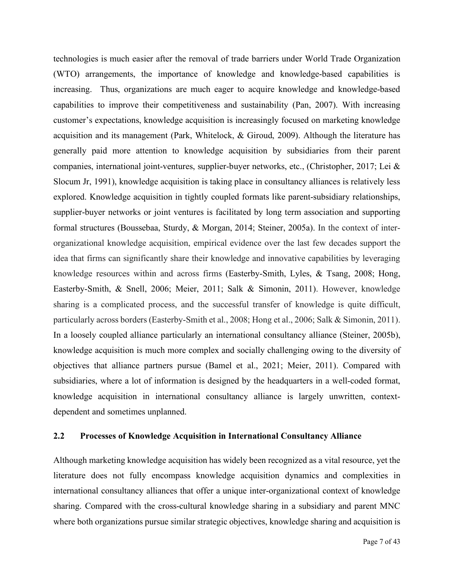technologies is much easier after the removal of trade barriers under World Trade Organization (WTO) arrangements, the importance of knowledge and knowledge-based capabilities is increasing. Thus, organizations are much eager to acquire knowledge and knowledge-based capabilities to improve their competitiveness and sustainability (Pan, 2007). With increasing customer's expectations, knowledge acquisition is increasingly focused on marketing knowledge acquisition and its management (Park, Whitelock, & Giroud, 2009). Although the literature has generally paid more attention to knowledge acquisition by subsidiaries from their parent companies, international joint-ventures, supplier-buyer networks, etc., (Christopher, 2017; Lei & Slocum Jr, 1991), knowledge acquisition is taking place in consultancy alliances is relatively less explored. Knowledge acquisition in tightly coupled formats like parent-subsidiary relationships, supplier-buyer networks or joint ventures is facilitated by long term association and supporting formal structures (Boussebaa, Sturdy, & Morgan, 2014; Steiner, 2005a). In the context of interorganizational knowledge acquisition, empirical evidence over the last few decades support the idea that firms can significantly share their knowledge and innovative capabilities by leveraging knowledge resources within and across firms (Easterby-Smith, Lyles, & Tsang, 2008; Hong, Easterby‐Smith, & Snell, 2006; Meier, 2011; Salk & Simonin, 2011). However, knowledge sharing is a complicated process, and the successful transfer of knowledge is quite difficult, particularly across borders (Easterby-Smith et al., 2008; Hong et al., 2006; Salk & Simonin, 2011). In a loosely coupled alliance particularly an international consultancy alliance (Steiner, 2005b), knowledge acquisition is much more complex and socially challenging owing to the diversity of objectives that alliance partners pursue (Bamel et al., 2021; Meier, 2011). Compared with subsidiaries, where a lot of information is designed by the headquarters in a well-coded format, knowledge acquisition in international consultancy alliance is largely unwritten, contextdependent and sometimes unplanned.

#### **2.2 Processes of Knowledge Acquisition in International Consultancy Alliance**

Although marketing knowledge acquisition has widely been recognized as a vital resource, yet the literature does not fully encompass knowledge acquisition dynamics and complexities in international consultancy alliances that offer a unique inter-organizational context of knowledge sharing. Compared with the cross-cultural knowledge sharing in a subsidiary and parent MNC where both organizations pursue similar strategic objectives, knowledge sharing and acquisition is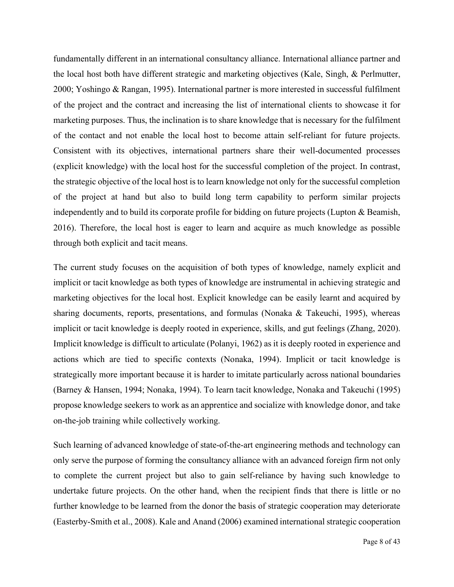fundamentally different in an international consultancy alliance. International alliance partner and the local host both have different strategic and marketing objectives (Kale, Singh, & Perlmutter, 2000; Yoshingo & Rangan, 1995). International partner is more interested in successful fulfilment of the project and the contract and increasing the list of international clients to showcase it for marketing purposes. Thus, the inclination is to share knowledge that is necessary for the fulfilment of the contact and not enable the local host to become attain self-reliant for future projects. Consistent with its objectives, international partners share their well-documented processes (explicit knowledge) with the local host for the successful completion of the project. In contrast, the strategic objective of the local host is to learn knowledge not only for the successful completion of the project at hand but also to build long term capability to perform similar projects independently and to build its corporate profile for bidding on future projects (Lupton & Beamish, 2016). Therefore, the local host is eager to learn and acquire as much knowledge as possible through both explicit and tacit means.

The current study focuses on the acquisition of both types of knowledge, namely explicit and implicit or tacit knowledge as both types of knowledge are instrumental in achieving strategic and marketing objectives for the local host. Explicit knowledge can be easily learnt and acquired by sharing documents, reports, presentations, and formulas (Nonaka & Takeuchi, 1995), whereas implicit or tacit knowledge is deeply rooted in experience, skills, and gut feelings (Zhang, 2020). Implicit knowledge is difficult to articulate (Polanyi, 1962) as it is deeply rooted in experience and actions which are tied to specific contexts (Nonaka, 1994). Implicit or tacit knowledge is strategically more important because it is harder to imitate particularly across national boundaries (Barney & Hansen, 1994; Nonaka, 1994). To learn tacit knowledge, Nonaka and Takeuchi (1995) propose knowledge seekers to work as an apprentice and socialize with knowledge donor, and take on-the-job training while collectively working.

Such learning of advanced knowledge of state-of-the-art engineering methods and technology can only serve the purpose of forming the consultancy alliance with an advanced foreign firm not only to complete the current project but also to gain self-reliance by having such knowledge to undertake future projects. On the other hand, when the recipient finds that there is little or no further knowledge to be learned from the donor the basis of strategic cooperation may deteriorate (Easterby‐Smith et al., 2008). Kale and Anand (2006) examined international strategic cooperation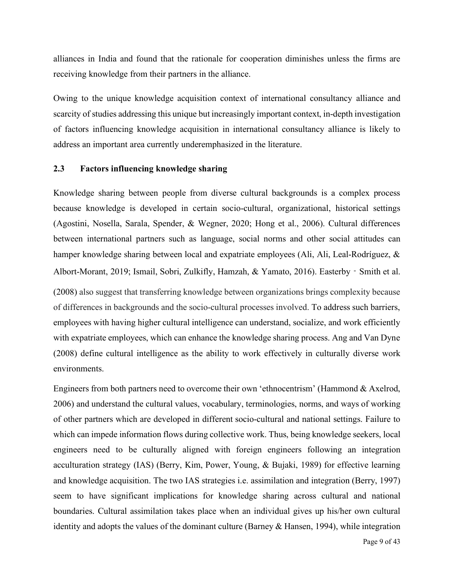alliances in India and found that the rationale for cooperation diminishes unless the firms are receiving knowledge from their partners in the alliance.

Owing to the unique knowledge acquisition context of international consultancy alliance and scarcity of studies addressing this unique but increasingly important context, in-depth investigation of factors influencing knowledge acquisition in international consultancy alliance is likely to address an important area currently underemphasized in the literature.

### **2.3 Factors influencing knowledge sharing**

Knowledge sharing between people from diverse cultural backgrounds is a complex process because knowledge is developed in certain socio-cultural, organizational, historical settings (Agostini, Nosella, Sarala, Spender, & Wegner, 2020; Hong et al., 2006). Cultural differences between international partners such as language, social norms and other social attitudes can hamper knowledge sharing between local and expatriate employees (Ali, Ali, Leal-Rodríguez, & Albort-Morant, 2019; Ismail, Sobri, Zulkifly, Hamzah, & Yamato, 2016). Easterby‐Smith et al.

(2008) also suggest that transferring knowledge between organizations brings complexity because of differences in backgrounds and the socio-cultural processes involved. To address such barriers, employees with having higher cultural intelligence can understand, socialize, and work efficiently with expatriate employees, which can enhance the knowledge sharing process. Ang and Van Dyne (2008) define cultural intelligence as the ability to work effectively in culturally diverse work environments.

Engineers from both partners need to overcome their own 'ethnocentrism' (Hammond & Axelrod, 2006) and understand the cultural values, vocabulary, terminologies, norms, and ways of working of other partners which are developed in different socio-cultural and national settings. Failure to which can impede information flows during collective work. Thus, being knowledge seekers, local engineers need to be culturally aligned with foreign engineers following an integration acculturation strategy (IAS) (Berry, Kim, Power, Young, & Bujaki, 1989) for effective learning and knowledge acquisition. The two IAS strategies i.e. assimilation and integration (Berry, 1997) seem to have significant implications for knowledge sharing across cultural and national boundaries. Cultural assimilation takes place when an individual gives up his/her own cultural identity and adopts the values of the dominant culture (Barney & Hansen, 1994), while integration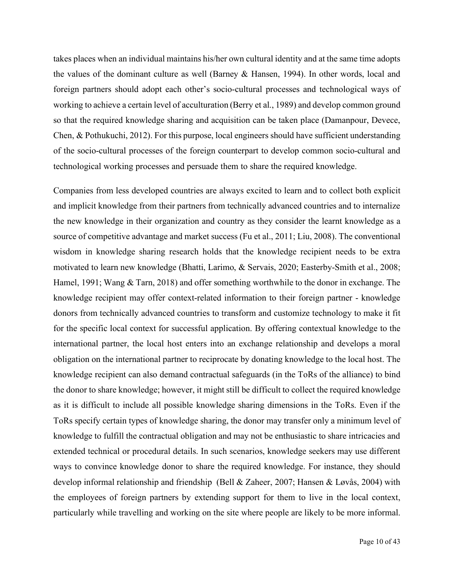takes places when an individual maintains his/her own cultural identity and at the same time adopts the values of the dominant culture as well (Barney & Hansen, 1994). In other words, local and foreign partners should adopt each other's socio-cultural processes and technological ways of working to achieve a certain level of acculturation (Berry et al., 1989) and develop common ground so that the required knowledge sharing and acquisition can be taken place (Damanpour, Devece, Chen, & Pothukuchi, 2012). For this purpose, local engineers should have sufficient understanding of the socio-cultural processes of the foreign counterpart to develop common socio-cultural and technological working processes and persuade them to share the required knowledge.

Companies from less developed countries are always excited to learn and to collect both explicit and implicit knowledge from their partners from technically advanced countries and to internalize the new knowledge in their organization and country as they consider the learnt knowledge as a source of competitive advantage and market success (Fu et al., 2011; Liu, 2008). The conventional wisdom in knowledge sharing research holds that the knowledge recipient needs to be extra motivated to learn new knowledge (Bhatti, Larimo, & Servais, 2020; Easterby‐Smith et al., 2008; Hamel, 1991; Wang & Tarn, 2018) and offer something worthwhile to the donor in exchange. The knowledge recipient may offer context-related information to their foreign partner - knowledge donors from technically advanced countries to transform and customize technology to make it fit for the specific local context for successful application. By offering contextual knowledge to the international partner, the local host enters into an exchange relationship and develops a moral obligation on the international partner to reciprocate by donating knowledge to the local host. The knowledge recipient can also demand contractual safeguards (in the ToRs of the alliance) to bind the donor to share knowledge; however, it might still be difficult to collect the required knowledge as it is difficult to include all possible knowledge sharing dimensions in the ToRs. Even if the ToRs specify certain types of knowledge sharing, the donor may transfer only a minimum level of knowledge to fulfill the contractual obligation and may not be enthusiastic to share intricacies and extended technical or procedural details. In such scenarios, knowledge seekers may use different ways to convince knowledge donor to share the required knowledge. For instance, they should develop informal relationship and friendship (Bell & Zaheer, 2007; Hansen & Løvås, 2004) with the employees of foreign partners by extending support for them to live in the local context, particularly while travelling and working on the site where people are likely to be more informal.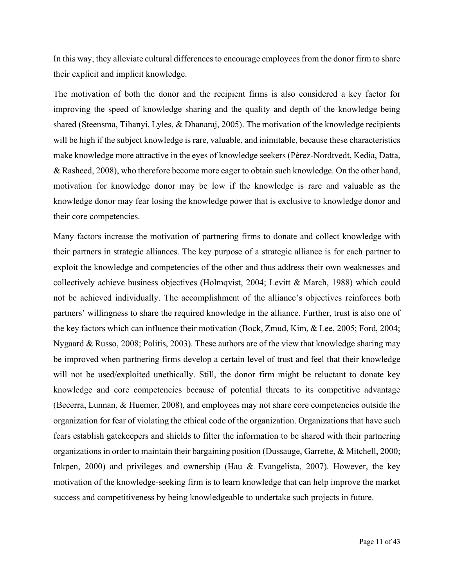In this way, they alleviate cultural differences to encourage employees from the donor firm to share their explicit and implicit knowledge.

The motivation of both the donor and the recipient firms is also considered a key factor for improving the speed of knowledge sharing and the quality and depth of the knowledge being shared (Steensma, Tihanyi, Lyles, & Dhanaraj, 2005). The motivation of the knowledge recipients will be high if the subject knowledge is rare, valuable, and inimitable, because these characteristics make knowledge more attractive in the eyes of knowledge seekers (Pérez‐Nordtvedt, Kedia, Datta, & Rasheed, 2008), who therefore become more eager to obtain such knowledge. On the other hand, motivation for knowledge donor may be low if the knowledge is rare and valuable as the knowledge donor may fear losing the knowledge power that is exclusive to knowledge donor and their core competencies.

Many factors increase the motivation of partnering firms to donate and collect knowledge with their partners in strategic alliances. The key purpose of a strategic alliance is for each partner to exploit the knowledge and competencies of the other and thus address their own weaknesses and collectively achieve business objectives (Holmqvist, 2004; Levitt & March, 1988) which could not be achieved individually. The accomplishment of the alliance's objectives reinforces both partners' willingness to share the required knowledge in the alliance. Further, trust is also one of the key factors which can influence their motivation (Bock, Zmud, Kim, & Lee, 2005; Ford, 2004; Nygaard & Russo, 2008; Politis, 2003). These authors are of the view that knowledge sharing may be improved when partnering firms develop a certain level of trust and feel that their knowledge will not be used/exploited unethically. Still, the donor firm might be reluctant to donate key knowledge and core competencies because of potential threats to its competitive advantage (Becerra, Lunnan, & Huemer, 2008), and employees may not share core competencies outside the organization for fear of violating the ethical code of the organization. Organizations that have such fears establish gatekeepers and shields to filter the information to be shared with their partnering organizations in order to maintain their bargaining position (Dussauge, Garrette, & Mitchell, 2000; Inkpen, 2000) and privileges and ownership (Hau & Evangelista, 2007). However, the key motivation of the knowledge-seeking firm is to learn knowledge that can help improve the market success and competitiveness by being knowledgeable to undertake such projects in future.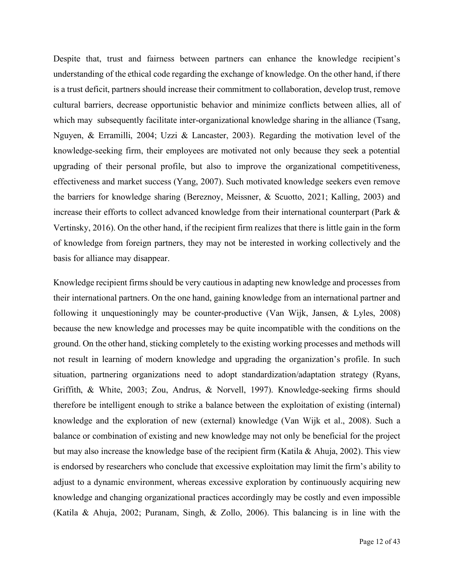Despite that, trust and fairness between partners can enhance the knowledge recipient's understanding of the ethical code regarding the exchange of knowledge. On the other hand, if there is a trust deficit, partners should increase their commitment to collaboration, develop trust, remove cultural barriers, decrease opportunistic behavior and minimize conflicts between allies, all of which may subsequently facilitate inter-organizational knowledge sharing in the alliance (Tsang, Nguyen, & Erramilli, 2004; Uzzi & Lancaster, 2003). Regarding the motivation level of the knowledge-seeking firm, their employees are motivated not only because they seek a potential upgrading of their personal profile, but also to improve the organizational competitiveness, effectiveness and market success (Yang, 2007). Such motivated knowledge seekers even remove the barriers for knowledge sharing (Bereznoy, Meissner, & Scuotto, 2021; Kalling, 2003) and increase their efforts to collect advanced knowledge from their international counterpart (Park & Vertinsky, 2016). On the other hand, if the recipient firm realizes that there is little gain in the form of knowledge from foreign partners, they may not be interested in working collectively and the basis for alliance may disappear.

Knowledge recipient firms should be very cautious in adapting new knowledge and processes from their international partners. On the one hand, gaining knowledge from an international partner and following it unquestioningly may be counter-productive (Van Wijk, Jansen, & Lyles, 2008) because the new knowledge and processes may be quite incompatible with the conditions on the ground. On the other hand, sticking completely to the existing working processes and methods will not result in learning of modern knowledge and upgrading the organization's profile. In such situation, partnering organizations need to adopt standardization/adaptation strategy (Ryans, Griffith, & White, 2003; Zou, Andrus, & Norvell, 1997). Knowledge-seeking firms should therefore be intelligent enough to strike a balance between the exploitation of existing (internal) knowledge and the exploration of new (external) knowledge (Van Wijk et al., 2008). Such a balance or combination of existing and new knowledge may not only be beneficial for the project but may also increase the knowledge base of the recipient firm (Katila & Ahuja, 2002). This view is endorsed by researchers who conclude that excessive exploitation may limit the firm's ability to adjust to a dynamic environment, whereas excessive exploration by continuously acquiring new knowledge and changing organizational practices accordingly may be costly and even impossible (Katila & Ahuja, 2002; Puranam, Singh, & Zollo, 2006). This balancing is in line with the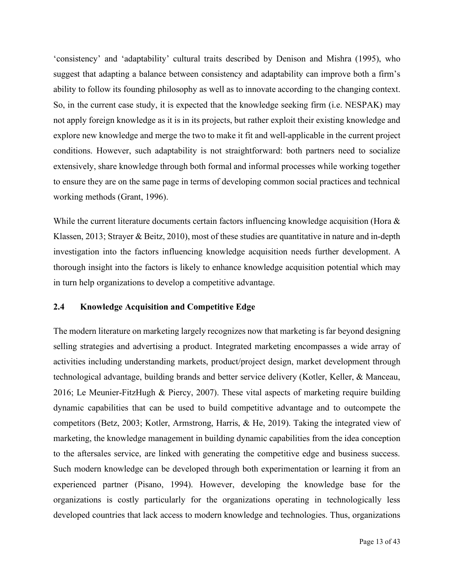'consistency' and 'adaptability' cultural traits described by Denison and Mishra (1995), who suggest that adapting a balance between consistency and adaptability can improve both a firm's ability to follow its founding philosophy as well as to innovate according to the changing context. So, in the current case study, it is expected that the knowledge seeking firm (i.e. NESPAK) may not apply foreign knowledge as it is in its projects, but rather exploit their existing knowledge and explore new knowledge and merge the two to make it fit and well-applicable in the current project conditions. However, such adaptability is not straightforward: both partners need to socialize extensively, share knowledge through both formal and informal processes while working together to ensure they are on the same page in terms of developing common social practices and technical working methods (Grant, 1996).

While the current literature documents certain factors influencing knowledge acquisition (Hora & Klassen, 2013; Strayer & Beitz, 2010), most of these studies are quantitative in nature and in-depth investigation into the factors influencing knowledge acquisition needs further development. A thorough insight into the factors is likely to enhance knowledge acquisition potential which may in turn help organizations to develop a competitive advantage.

#### **2.4 Knowledge Acquisition and Competitive Edge**

The modern literature on marketing largely recognizes now that marketing is far beyond designing selling strategies and advertising a product. Integrated marketing encompasses a wide array of activities including understanding markets, product/project design, market development through technological advantage, building brands and better service delivery (Kotler, Keller, & Manceau, 2016; Le Meunier-FitzHugh & Piercy, 2007). These vital aspects of marketing require building dynamic capabilities that can be used to build competitive advantage and to outcompete the competitors (Betz, 2003; Kotler, Armstrong, Harris, & He, 2019). Taking the integrated view of marketing, the knowledge management in building dynamic capabilities from the idea conception to the aftersales service, are linked with generating the competitive edge and business success. Such modern knowledge can be developed through both experimentation or learning it from an experienced partner (Pisano, 1994). However, developing the knowledge base for the organizations is costly particularly for the organizations operating in technologically less developed countries that lack access to modern knowledge and technologies. Thus, organizations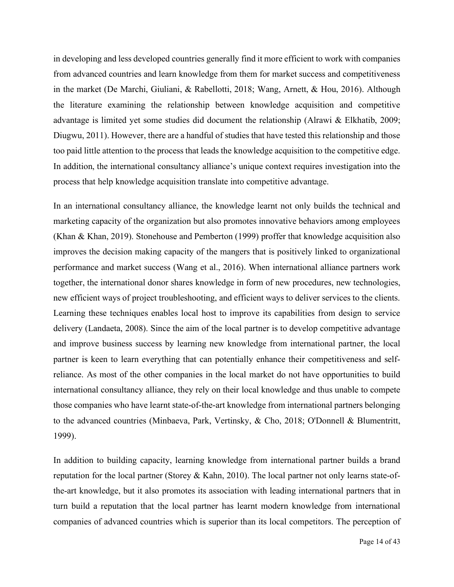in developing and less developed countries generally find it more efficient to work with companies from advanced countries and learn knowledge from them for market success and competitiveness in the market (De Marchi, Giuliani, & Rabellotti, 2018; Wang, Arnett, & Hou, 2016). Although the literature examining the relationship between knowledge acquisition and competitive advantage is limited yet some studies did document the relationship (Alrawi & Elkhatib, 2009; Diugwu, 2011). However, there are a handful of studies that have tested this relationship and those too paid little attention to the process that leads the knowledge acquisition to the competitive edge. In addition, the international consultancy alliance's unique context requires investigation into the process that help knowledge acquisition translate into competitive advantage.

In an international consultancy alliance, the knowledge learnt not only builds the technical and marketing capacity of the organization but also promotes innovative behaviors among employees (Khan & Khan, 2019). Stonehouse and Pemberton (1999) proffer that knowledge acquisition also improves the decision making capacity of the mangers that is positively linked to organizational performance and market success (Wang et al., 2016). When international alliance partners work together, the international donor shares knowledge in form of new procedures, new technologies, new efficient ways of project troubleshooting, and efficient ways to deliver services to the clients. Learning these techniques enables local host to improve its capabilities from design to service delivery (Landaeta, 2008). Since the aim of the local partner is to develop competitive advantage and improve business success by learning new knowledge from international partner, the local partner is keen to learn everything that can potentially enhance their competitiveness and selfreliance. As most of the other companies in the local market do not have opportunities to build international consultancy alliance, they rely on their local knowledge and thus unable to compete those companies who have learnt state-of-the-art knowledge from international partners belonging to the advanced countries (Minbaeva, Park, Vertinsky, & Cho, 2018; O'Donnell & Blumentritt, 1999).

In addition to building capacity, learning knowledge from international partner builds a brand reputation for the local partner (Storey & Kahn, 2010). The local partner not only learns state-ofthe-art knowledge, but it also promotes its association with leading international partners that in turn build a reputation that the local partner has learnt modern knowledge from international companies of advanced countries which is superior than its local competitors. The perception of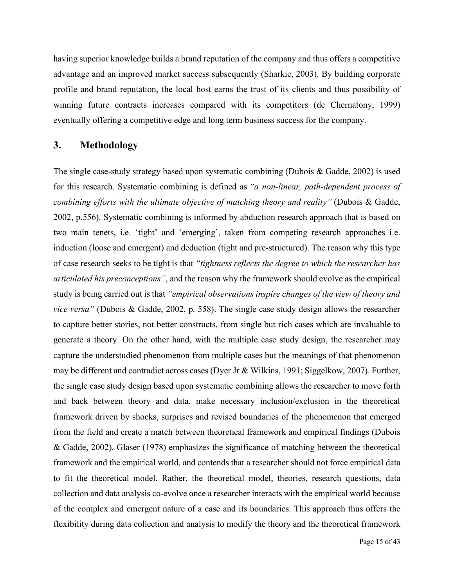having superior knowledge builds a brand reputation of the company and thus offers a competitive advantage and an improved market success subsequently (Sharkie, 2003). By building corporate profile and brand reputation, the local host earns the trust of its clients and thus possibility of winning future contracts increases compared with its competitors (de Chernatony, 1999) eventually offering a competitive edge and long term business success for the company.

### **3. Methodology**

The single case-study strategy based upon systematic combining (Dubois & Gadde, 2002) is used for this research. Systematic combining is defined as *"a non-linear, path-dependent process of combining efforts with the ultimate objective of matching theory and reality"* (Dubois & Gadde, 2002, p.556). Systematic combining is informed by abduction research approach that is based on two main tenets, i.e. 'tight' and 'emerging', taken from competing research approaches i.e. induction (loose and emergent) and deduction (tight and pre-structured). The reason why this type of case research seeks to be tight is that *"tightness reflects the degree to which the researcher has articulated his preconceptions"*, and the reason why the framework should evolve as the empirical study is being carried out is that *"empirical observations inspire changes of the view of theory and vice versa"* (Dubois & Gadde, 2002, p. 558). The single case study design allows the researcher to capture better stories, not better constructs, from single but rich cases which are invaluable to generate a theory. On the other hand, with the multiple case study design, the researcher may capture the understudied phenomenon from multiple cases but the meanings of that phenomenon may be different and contradict across cases (Dyer Jr & Wilkins, 1991; Siggelkow, 2007). Further, the single case study design based upon systematic combining allows the researcher to move forth and back between theory and data, make necessary inclusion/exclusion in the theoretical framework driven by shocks, surprises and revised boundaries of the phenomenon that emerged from the field and create a match between theoretical framework and empirical findings (Dubois & Gadde, 2002). Glaser (1978) emphasizes the significance of matching between the theoretical framework and the empirical world, and contends that a researcher should not force empirical data to fit the theoretical model. Rather, the theoretical model, theories, research questions, data collection and data analysis co-evolve once a researcher interacts with the empirical world because of the complex and emergent nature of a case and its boundaries. This approach thus offers the flexibility during data collection and analysis to modify the theory and the theoretical framework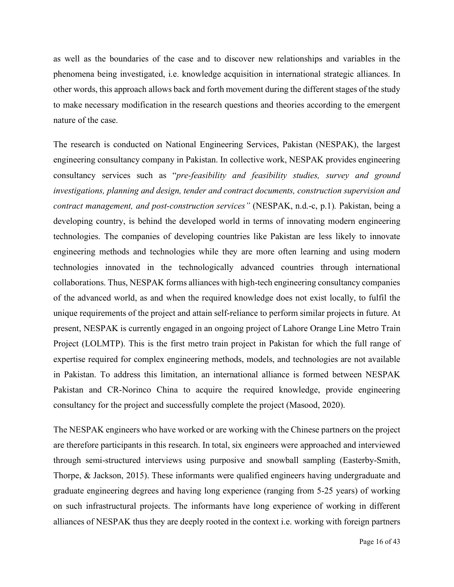as well as the boundaries of the case and to discover new relationships and variables in the phenomena being investigated, i.e. knowledge acquisition in international strategic alliances. In other words, this approach allows back and forth movement during the different stages of the study to make necessary modification in the research questions and theories according to the emergent nature of the case.

The research is conducted on National Engineering Services, Pakistan (NESPAK), the largest engineering consultancy company in Pakistan. In collective work, NESPAK provides engineering consultancy services such as "*pre-feasibility and feasibility studies, survey and ground investigations, planning and design, tender and contract documents, construction supervision and contract management, and post-construction services"* (NESPAK, n.d.-c, p.1)*.* Pakistan, being a developing country, is behind the developed world in terms of innovating modern engineering technologies. The companies of developing countries like Pakistan are less likely to innovate engineering methods and technologies while they are more often learning and using modern technologies innovated in the technologically advanced countries through international collaborations. Thus, NESPAK forms alliances with high-tech engineering consultancy companies of the advanced world, as and when the required knowledge does not exist locally, to fulfil the unique requirements of the project and attain self-reliance to perform similar projects in future. At present, NESPAK is currently engaged in an ongoing project of Lahore Orange Line Metro Train Project (LOLMTP). This is the first metro train project in Pakistan for which the full range of expertise required for complex engineering methods, models, and technologies are not available in Pakistan. To address this limitation, an international alliance is formed between NESPAK Pakistan and CR-Norinco China to acquire the required knowledge, provide engineering consultancy for the project and successfully complete the project (Masood, 2020).

The NESPAK engineers who have worked or are working with the Chinese partners on the project are therefore participants in this research. In total, six engineers were approached and interviewed through semi-structured interviews using purposive and snowball sampling (Easterby-Smith, Thorpe, & Jackson, 2015). These informants were qualified engineers having undergraduate and graduate engineering degrees and having long experience (ranging from 5-25 years) of working on such infrastructural projects. The informants have long experience of working in different alliances of NESPAK thus they are deeply rooted in the context i.e. working with foreign partners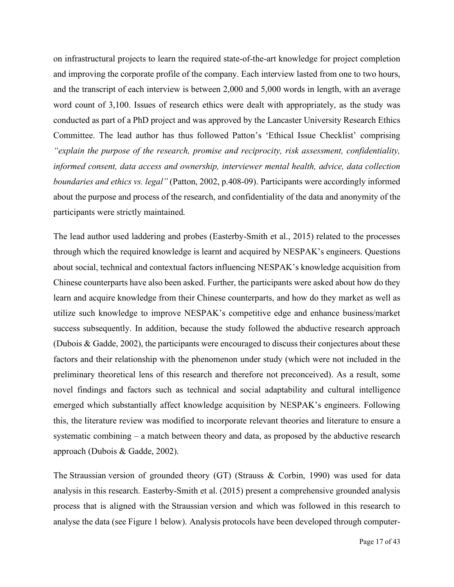on infrastructural projects to learn the required state-of-the-art knowledge for project completion and improving the corporate profile of the company. Each interview lasted from one to two hours, and the transcript of each interview is between 2,000 and 5,000 words in length, with an average word count of 3,100. Issues of research ethics were dealt with appropriately, as the study was conducted as part of a PhD project and was approved by the Lancaster University Research Ethics Committee. The lead author has thus followed Patton's 'Ethical Issue Checklist' comprising *"explain the purpose of the research, promise and reciprocity, risk assessment, confidentiality, informed consent, data access and ownership, interviewer mental health, advice, data collection boundaries and ethics vs. legal"* (Patton, 2002, p.408-09). Participants were accordingly informed about the purpose and process of the research, and confidentiality of the data and anonymity of the participants were strictly maintained.

The lead author used laddering and probes (Easterby-Smith et al., 2015) related to the processes through which the required knowledge is learnt and acquired by NESPAK's engineers. Questions about social, technical and contextual factors influencing NESPAK's knowledge acquisition from Chinese counterparts have also been asked. Further, the participants were asked about how do they learn and acquire knowledge from their Chinese counterparts, and how do they market as well as utilize such knowledge to improve NESPAK's competitive edge and enhance business/market success subsequently. In addition, because the study followed the abductive research approach (Dubois & Gadde, 2002), the participants were encouraged to discuss their conjectures about these factors and their relationship with the phenomenon under study (which were not included in the preliminary theoretical lens of this research and therefore not preconceived). As a result, some novel findings and factors such as technical and social adaptability and cultural intelligence emerged which substantially affect knowledge acquisition by NESPAK's engineers. Following this, the literature review was modified to incorporate relevant theories and literature to ensure a systematic combining – a match between theory and data, as proposed by the abductive research approach (Dubois & Gadde, 2002).

The Straussian version of grounded theory (GT) (Strauss & Corbin, 1990) was used for data analysis in this research. Easterby-Smith et al. (2015) present a comprehensive grounded analysis process that is aligned with the Straussian version and which was followed in this research to analyse the data (see Figure 1 below). Analysis protocols have been developed through computer-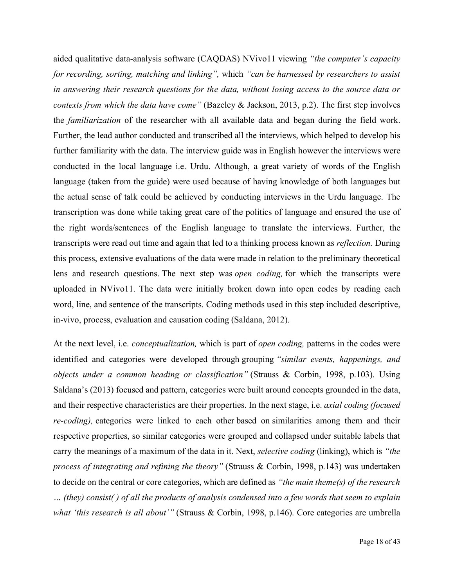aided qualitative data-analysis software (CAQDAS) NVivo11 viewing *"the computer's capacity for recording, sorting, matching and linking",* which *"can be harnessed by researchers to assist in answering their research questions for the data, without losing access to the source data or contexts from which the data have come"* (Bazeley & Jackson, 2013, p.2). The first step involves the *familiarization* of the researcher with all available data and began during the field work. Further, the lead author conducted and transcribed all the interviews, which helped to develop his further familiarity with the data. The interview guide was in English however the interviews were conducted in the local language i.e. Urdu. Although, a great variety of words of the English language (taken from the guide) were used because of having knowledge of both languages but the actual sense of talk could be achieved by conducting interviews in the Urdu language. The transcription was done while taking great care of the politics of language and ensured the use of the right words/sentences of the English language to translate the interviews. Further, the transcripts were read out time and again that led to a thinking process known as *reflection.* During this process, extensive evaluations of the data were made in relation to the preliminary theoretical lens and research questions. The next step was *open coding,* for which the transcripts were uploaded in NVivo11. The data were initially broken down into open codes by reading each word, line, and sentence of the transcripts. Coding methods used in this step included descriptive, in-vivo, process, evaluation and causation coding (Saldana, 2012).

At the next level, i.e. *conceptualization,* which is part of *open coding,* patterns in the codes were identified and categories were developed through grouping *"similar events, happenings, and objects under a common heading or classification"* (Strauss & Corbin, 1998, p.103). Using Saldana's (2013) focused and pattern, categories were built around concepts grounded in the data, and their respective characteristics are their properties. In the next stage, i.e. *axial coding (focused re-coding),* categories were linked to each other based on similarities among them and their respective properties, so similar categories were grouped and collapsed under suitable labels that carry the meanings of a maximum of the data in it. Next, *selective coding* (linking), which is *"the process of integrating and refining the theory"* (Strauss & Corbin, 1998, p.143) was undertaken to decide on the central or core categories, which are defined as *"the main theme(s) of the research … (they) consist( ) of all the products of analysis condensed into a few words that seem to explain what 'this research is all about'"* (Strauss & Corbin, 1998, p.146). Core categories are umbrella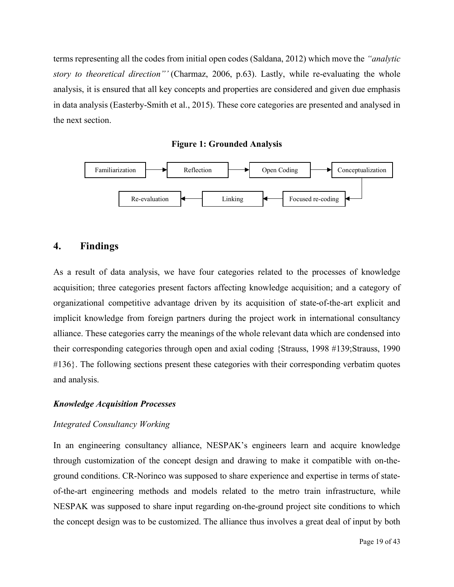terms representing all the codes from initial open codes (Saldana, 2012) which move the *"analytic story to theoretical direction"'* (Charmaz, 2006, p.63). Lastly, while re-evaluating the whole analysis, it is ensured that all key concepts and properties are considered and given due emphasis in data analysis (Easterby-Smith et al., 2015). These core categories are presented and analysed in the next section.

**Figure 1: Grounded Analysis**



# **4. Findings**

As a result of data analysis, we have four categories related to the processes of knowledge acquisition; three categories present factors affecting knowledge acquisition; and a category of organizational competitive advantage driven by its acquisition of state-of-the-art explicit and implicit knowledge from foreign partners during the project work in international consultancy alliance. These categories carry the meanings of the whole relevant data which are condensed into their corresponding categories through open and axial coding {Strauss, 1998 #139;Strauss, 1990 #136}. The following sections present these categories with their corresponding verbatim quotes and analysis.

#### *Knowledge Acquisition Processes*

#### *Integrated Consultancy Working*

In an engineering consultancy alliance, NESPAK's engineers learn and acquire knowledge through customization of the concept design and drawing to make it compatible with on-theground conditions. CR-Norinco was supposed to share experience and expertise in terms of stateof-the-art engineering methods and models related to the metro train infrastructure, while NESPAK was supposed to share input regarding on-the-ground project site conditions to which the concept design was to be customized. The alliance thus involves a great deal of input by both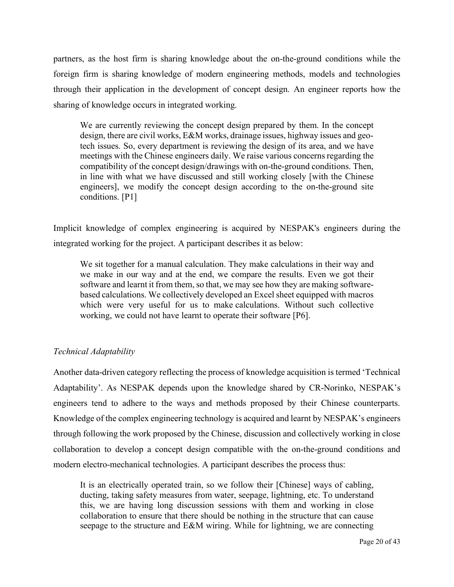partners, as the host firm is sharing knowledge about the on-the-ground conditions while the foreign firm is sharing knowledge of modern engineering methods, models and technologies through their application in the development of concept design. An engineer reports how the sharing of knowledge occurs in integrated working.

We are currently reviewing the concept design prepared by them. In the concept design, there are civil works, E&M works, drainage issues, highway issues and geotech issues. So, every department is reviewing the design of its area, and we have meetings with the Chinese engineers daily. We raise various concerns regarding the compatibility of the concept design/drawings with on-the-ground conditions. Then, in line with what we have discussed and still working closely [with the Chinese engineers], we modify the concept design according to the on-the-ground site conditions. [P1]

Implicit knowledge of complex engineering is acquired by NESPAK's engineers during the integrated working for the project. A participant describes it as below:

We sit together for a manual calculation. They make calculations in their way and we make in our way and at the end, we compare the results. Even we got their software and learnt it from them, so that, we may see how they are making softwarebased calculations. We collectively developed an Excel sheet equipped with macros which were very useful for us to make calculations. Without such collective working, we could not have learnt to operate their software [P6].

# *Technical Adaptability*

Another data-driven category reflecting the process of knowledge acquisition is termed 'Technical Adaptability'. As NESPAK depends upon the knowledge shared by CR-Norinko, NESPAK's engineers tend to adhere to the ways and methods proposed by their Chinese counterparts. Knowledge of the complex engineering technology is acquired and learnt by NESPAK's engineers through following the work proposed by the Chinese, discussion and collectively working in close collaboration to develop a concept design compatible with the on-the-ground conditions and modern electro-mechanical technologies. A participant describes the process thus:

It is an electrically operated train, so we follow their [Chinese] ways of cabling, ducting, taking safety measures from water, seepage, lightning, etc. To understand this, we are having long discussion sessions with them and working in close collaboration to ensure that there should be nothing in the structure that can cause seepage to the structure and E&M wiring. While for lightning, we are connecting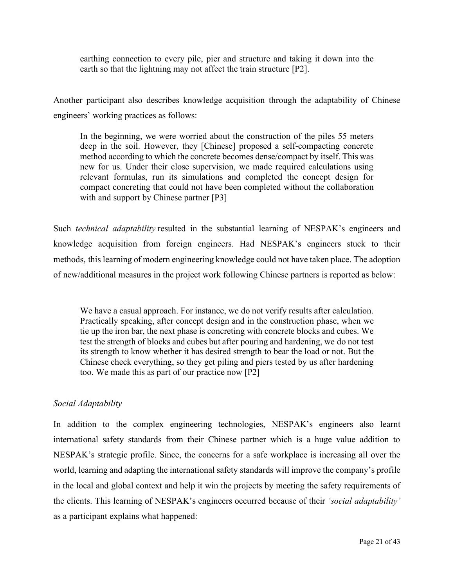earthing connection to every pile, pier and structure and taking it down into the earth so that the lightning may not affect the train structure [P2].

Another participant also describes knowledge acquisition through the adaptability of Chinese engineers' working practices as follows:

In the beginning, we were worried about the construction of the piles 55 meters deep in the soil. However, they [Chinese] proposed a self-compacting concrete method according to which the concrete becomes dense/compact by itself. This was new for us. Under their close supervision, we made required calculations using relevant formulas, run its simulations and completed the concept design for compact concreting that could not have been completed without the collaboration with and support by Chinese partner [P3]

Such *technical adaptability* resulted in the substantial learning of NESPAK's engineers and knowledge acquisition from foreign engineers. Had NESPAK's engineers stuck to their methods, this learning of modern engineering knowledge could not have taken place. The adoption of new/additional measures in the project work following Chinese partners is reported as below:

We have a casual approach. For instance, we do not verify results after calculation. Practically speaking, after concept design and in the construction phase, when we tie up the iron bar, the next phase is concreting with concrete blocks and cubes. We test the strength of blocks and cubes but after pouring and hardening, we do not test its strength to know whether it has desired strength to bear the load or not. But the Chinese check everything, so they get piling and piers tested by us after hardening too. We made this as part of our practice now [P2]

### *Social Adaptability*

In addition to the complex engineering technologies, NESPAK's engineers also learnt international safety standards from their Chinese partner which is a huge value addition to NESPAK's strategic profile. Since, the concerns for a safe workplace is increasing all over the world, learning and adapting the international safety standards will improve the company's profile in the local and global context and help it win the projects by meeting the safety requirements of the clients. This learning of NESPAK's engineers occurred because of their *'social adaptability'* as a participant explains what happened: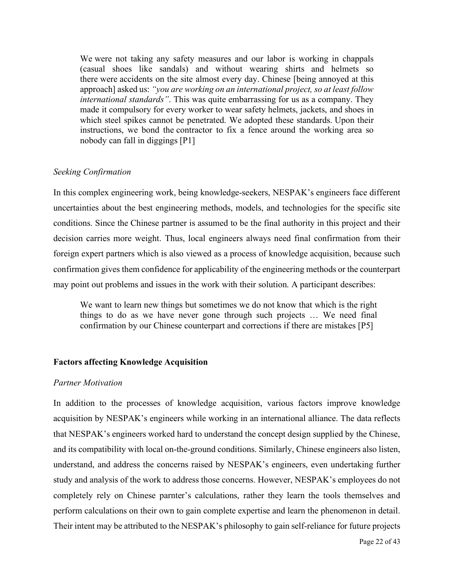We were not taking any safety measures and our labor is working in chappals (casual shoes like sandals) and without wearing shirts and helmets so there were accidents on the site almost every day. Chinese [being annoyed at this approach] asked us: *"you are working on an international project, so at least follow international standards"*. This was quite embarrassing for us as a company. They made it compulsory for every worker to wear safety helmets, jackets, and shoes in which steel spikes cannot be penetrated. We adopted these standards. Upon their instructions, we bond the contractor to fix a fence around the working area so nobody can fall in diggings [P1]

#### *Seeking Confirmation*

In this complex engineering work, being knowledge-seekers, NESPAK's engineers face different uncertainties about the best engineering methods, models, and technologies for the specific site conditions. Since the Chinese partner is assumed to be the final authority in this project and their decision carries more weight. Thus, local engineers always need final confirmation from their foreign expert partners which is also viewed as a process of knowledge acquisition, because such confirmation gives them confidence for applicability of the engineering methods or the counterpart may point out problems and issues in the work with their solution. A participant describes:

We want to learn new things but sometimes we do not know that which is the right things to do as we have never gone through such projects … We need final confirmation by our Chinese counterpart and corrections if there are mistakes [P5]

#### **Factors affecting Knowledge Acquisition**

#### *Partner Motivation*

In addition to the processes of knowledge acquisition, various factors improve knowledge acquisition by NESPAK's engineers while working in an international alliance. The data reflects that NESPAK's engineers worked hard to understand the concept design supplied by the Chinese, and its compatibility with local on-the-ground conditions. Similarly, Chinese engineers also listen, understand, and address the concerns raised by NESPAK's engineers, even undertaking further study and analysis of the work to address those concerns. However, NESPAK's employees do not completely rely on Chinese parnter's calculations, rather they learn the tools themselves and perform calculations on their own to gain complete expertise and learn the phenomenon in detail. Their intent may be attributed to the NESPAK's philosophy to gain self-reliance for future projects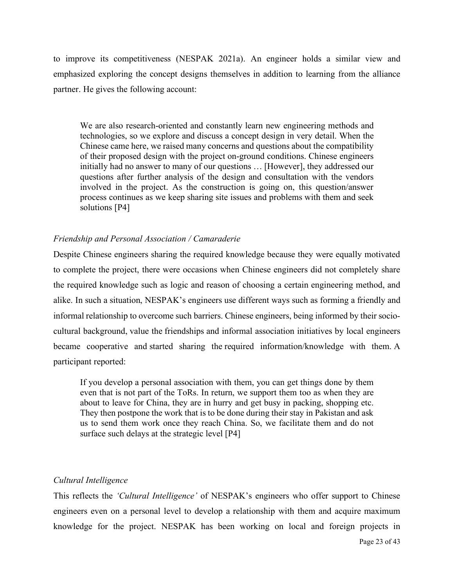to improve its competitiveness (NESPAK 2021a). An engineer holds a similar view and emphasized exploring the concept designs themselves in addition to learning from the alliance partner. He gives the following account:

We are also research-oriented and constantly learn new engineering methods and technologies, so we explore and discuss a concept design in very detail. When the Chinese came here, we raised many concerns and questions about the compatibility of their proposed design with the project on-ground conditions. Chinese engineers initially had no answer to many of our questions … [However], they addressed our questions after further analysis of the design and consultation with the vendors involved in the project. As the construction is going on, this question/answer process continues as we keep sharing site issues and problems with them and seek solutions [P4]

#### *Friendship and Personal Association / Camaraderie*

Despite Chinese engineers sharing the required knowledge because they were equally motivated to complete the project, there were occasions when Chinese engineers did not completely share the required knowledge such as logic and reason of choosing a certain engineering method, and alike. In such a situation, NESPAK's engineers use different ways such as forming a friendly and informal relationship to overcome such barriers. Chinese engineers, being informed by their sociocultural background, value the friendships and informal association initiatives by local engineers became cooperative and started sharing the required information/knowledge with them. A participant reported:

If you develop a personal association with them, you can get things done by them even that is not part of the ToRs. In return, we support them too as when they are about to leave for China, they are in hurry and get busy in packing, shopping etc. They then postpone the work that is to be done during their stay in Pakistan and ask us to send them work once they reach China. So, we facilitate them and do not surface such delays at the strategic level [P4]

#### *Cultural Intelligence*

This reflects the *'Cultural Intelligence'* of NESPAK's engineers who offer support to Chinese engineers even on a personal level to develop a relationship with them and acquire maximum knowledge for the project. NESPAK has been working on local and foreign projects in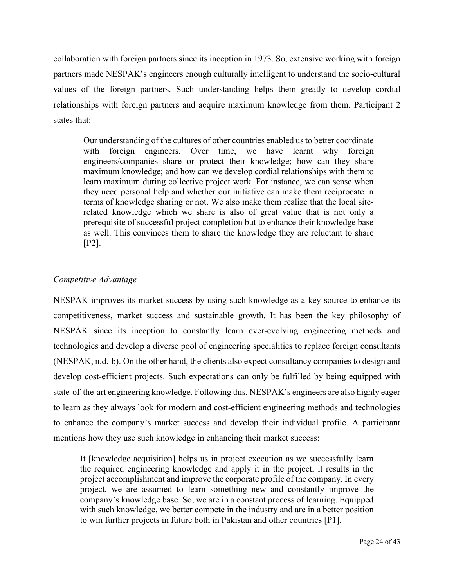collaboration with foreign partners since its inception in 1973. So, extensive working with foreign partners made NESPAK's engineers enough culturally intelligent to understand the socio-cultural values of the foreign partners. Such understanding helps them greatly to develop cordial relationships with foreign partners and acquire maximum knowledge from them. Participant 2 states that:

Our understanding of the cultures of other countries enabled us to better coordinate with foreign engineers. Over time, we have learnt why foreign engineers/companies share or protect their knowledge; how can they share maximum knowledge; and how can we develop cordial relationships with them to learn maximum during collective project work. For instance, we can sense when they need personal help and whether our initiative can make them reciprocate in terms of knowledge sharing or not. We also make them realize that the local siterelated knowledge which we share is also of great value that is not only a prerequisite of successful project completion but to enhance their knowledge base as well. This convinces them to share the knowledge they are reluctant to share [P2].

### *Competitive Advantage*

NESPAK improves its market success by using such knowledge as a key source to enhance its competitiveness, market success and sustainable growth. It has been the key philosophy of NESPAK since its inception to constantly learn ever-evolving engineering methods and technologies and develop a diverse pool of engineering specialities to replace foreign consultants (NESPAK, n.d.-b). On the other hand, the clients also expect consultancy companies to design and develop cost-efficient projects. Such expectations can only be fulfilled by being equipped with state-of-the-art engineering knowledge. Following this, NESPAK's engineers are also highly eager to learn as they always look for modern and cost-efficient engineering methods and technologies to enhance the company's market success and develop their individual profile. A participant mentions how they use such knowledge in enhancing their market success:

It [knowledge acquisition] helps us in project execution as we successfully learn the required engineering knowledge and apply it in the project, it results in the project accomplishment and improve the corporate profile of the company. In every project, we are assumed to learn something new and constantly improve the company's knowledge base. So, we are in a constant process of learning. Equipped with such knowledge, we better compete in the industry and are in a better position to win further projects in future both in Pakistan and other countries [P1].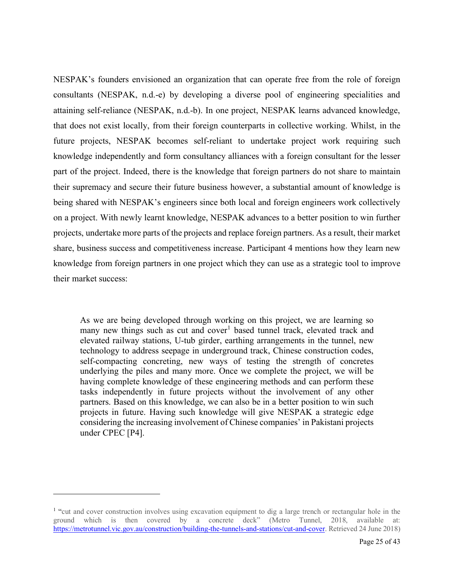NESPAK's founders envisioned an organization that can operate free from the role of foreign consultants (NESPAK, n.d.-e) by developing a diverse pool of engineering specialities and attaining self-reliance (NESPAK, n.d.-b). In one project, NESPAK learns advanced knowledge, that does not exist locally, from their foreign counterparts in collective working. Whilst, in the future projects, NESPAK becomes self-reliant to undertake project work requiring such knowledge independently and form consultancy alliances with a foreign consultant for the lesser part of the project. Indeed, there is the knowledge that foreign partners do not share to maintain their supremacy and secure their future business however, a substantial amount of knowledge is being shared with NESPAK's engineers since both local and foreign engineers work collectively on a project. With newly learnt knowledge, NESPAK advances to a better position to win further projects, undertake more parts of the projects and replace foreign partners. As a result, their market share, business success and competitiveness increase. Participant 4 mentions how they learn new knowledge from foreign partners in one project which they can use as a strategic tool to improve their market success:

As we are being developed through working on this project, we are learning so many new things such as cut and  $cover<sup>1</sup>$  $cover<sup>1</sup>$  $cover<sup>1</sup>$  based tunnel track, elevated track and elevated railway stations, U-tub girder, earthing arrangements in the tunnel, new technology to address seepage in underground track, Chinese construction codes, self-compacting concreting, new ways of testing the strength of concretes underlying the piles and many more. Once we complete the project, we will be having complete knowledge of these engineering methods and can perform these tasks independently in future projects without the involvement of any other partners. Based on this knowledge, we can also be in a better position to win such projects in future. Having such knowledge will give NESPAK a strategic edge considering the increasing involvement of Chinese companies' in Pakistani projects under CPEC [P4].

<span id="page-24-0"></span><sup>&</sup>lt;sup>1</sup> "cut and cover construction involves using excavation equipment to dig a large trench or rectangular hole in the ground which is then covered by a concrete deck" (Metro Tunnel, 2018, available at: [https://metrotunnel.vic.gov.au/construction/building-the-tunnels-and-stations/cut-and-cover.](https://metrotunnel.vic.gov.au/construction/building-the-tunnels-and-stations/cut-and-cover) Retrieved 24 June 2018)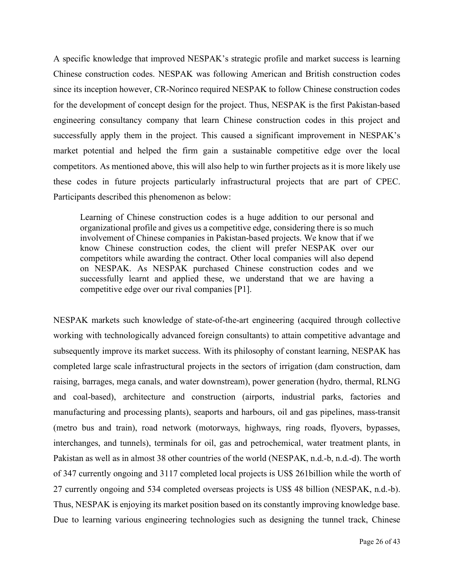A specific knowledge that improved NESPAK's strategic profile and market success is learning Chinese construction codes. NESPAK was following American and British construction codes since its inception however, CR-Norinco required NESPAK to follow Chinese construction codes for the development of concept design for the project. Thus, NESPAK is the first Pakistan-based engineering consultancy company that learn Chinese construction codes in this project and successfully apply them in the project. This caused a significant improvement in NESPAK's market potential and helped the firm gain a sustainable competitive edge over the local competitors. As mentioned above, this will also help to win further projects as it is more likely use these codes in future projects particularly infrastructural projects that are part of CPEC. Participants described this phenomenon as below:

Learning of Chinese construction codes is a huge addition to our personal and organizational profile and gives us a competitive edge, considering there is so much involvement of Chinese companies in Pakistan-based projects. We know that if we know Chinese construction codes, the client will prefer NESPAK over our competitors while awarding the contract. Other local companies will also depend on NESPAK. As NESPAK purchased Chinese construction codes and we successfully learnt and applied these, we understand that we are having a competitive edge over our rival companies [P1].

NESPAK markets such knowledge of state-of-the-art engineering (acquired through collective working with technologically advanced foreign consultants) to attain competitive advantage and subsequently improve its market success. With its philosophy of constant learning, NESPAK has completed large scale infrastructural projects in the sectors of irrigation (dam construction, dam raising, barrages, mega canals, and water downstream), power generation (hydro, thermal, RLNG and coal-based), architecture and construction (airports, industrial parks, factories and manufacturing and processing plants), seaports and harbours, oil and gas pipelines, mass-transit (metro bus and train), road network (motorways, highways, ring roads, flyovers, bypasses, interchanges, and tunnels), terminals for oil, gas and petrochemical, water treatment plants, in Pakistan as well as in almost 38 other countries of the world (NESPAK, n.d.-b, n.d.-d). The worth of 347 currently ongoing and 3117 completed local projects is US\$ 261billion while the worth of 27 currently ongoing and 534 completed overseas projects is US\$ 48 billion (NESPAK, n.d.-b). Thus, NESPAK is enjoying its market position based on its constantly improving knowledge base. Due to learning various engineering technologies such as designing the tunnel track, Chinese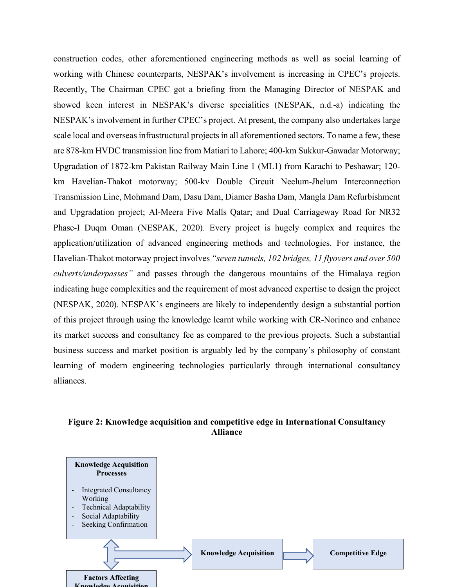construction codes, other aforementioned engineering methods as well as social learning of working with Chinese counterparts, NESPAK's involvement is increasing in CPEC's projects. Recently, The Chairman CPEC got a briefing from the Managing Director of NESPAK and showed keen interest in NESPAK's diverse specialities (NESPAK, n.d.-a) indicating the NESPAK's involvement in further CPEC's project. At present, the company also undertakes large scale local and overseas infrastructural projects in all aforementioned sectors. To name a few, these are 878-km HVDC transmission line from Matiari to Lahore; 400-km Sukkur-Gawadar Motorway; Upgradation of 1872-km Pakistan Railway Main Line 1 (ML1) from Karachi to Peshawar; 120 km Havelian-Thakot motorway; 500-kv Double Circuit Neelum-Jhelum Interconnection Transmission Line, Mohmand Dam, Dasu Dam, Diamer Basha Dam, Mangla Dam Refurbishment and Upgradation project; Al-Meera Five Malls Qatar; and Dual Carriageway Road for NR32 Phase-I Duqm Oman (NESPAK, 2020). Every project is hugely complex and requires the application/utilization of advanced engineering methods and technologies. For instance, the Havelian-Thakot motorway project involves *"seven tunnels, 102 bridges, 11 flyovers and over 500 culverts/underpasses"* and passes through the dangerous mountains of the Himalaya region indicating huge complexities and the requirement of most advanced expertise to design the project (NESPAK, 2020). NESPAK's engineers are likely to independently design a substantial portion of this project through using the knowledge learnt while working with CR-Norinco and enhance its market success and consultancy fee as compared to the previous projects. Such a substantial business success and market position is arguably led by the company's philosophy of constant learning of modern engineering technologies particularly through international consultancy alliances.

### **Figure 2: Knowledge acquisition and competitive edge in International Consultancy Alliance**

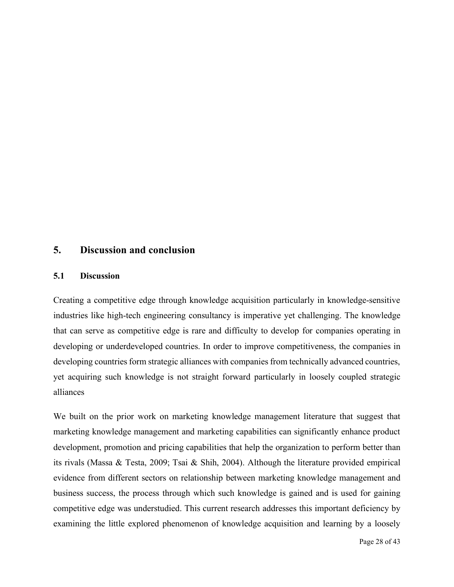# **5. Discussion and conclusion**

#### **5.1 Discussion**

Creating a competitive edge through knowledge acquisition particularly in knowledge-sensitive industries like high-tech engineering consultancy is imperative yet challenging. The knowledge that can serve as competitive edge is rare and difficulty to develop for companies operating in developing or underdeveloped countries. In order to improve competitiveness, the companies in developing countries form strategic alliances with companies from technically advanced countries, yet acquiring such knowledge is not straight forward particularly in loosely coupled strategic alliances

We built on the prior work on marketing knowledge management literature that suggest that marketing knowledge management and marketing capabilities can significantly enhance product development, promotion and pricing capabilities that help the organization to perform better than its rivals (Massa & Testa, 2009; Tsai & Shih, 2004). Although the literature provided empirical evidence from different sectors on relationship between marketing knowledge management and business success, the process through which such knowledge is gained and is used for gaining competitive edge was understudied. This current research addresses this important deficiency by examining the little explored phenomenon of knowledge acquisition and learning by a loosely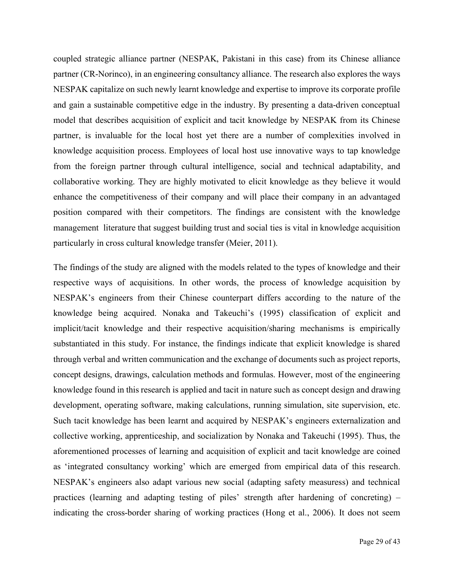coupled strategic alliance partner (NESPAK, Pakistani in this case) from its Chinese alliance partner (CR-Norinco), in an engineering consultancy alliance. The research also explores the ways NESPAK capitalize on such newly learnt knowledge and expertise to improve its corporate profile and gain a sustainable competitive edge in the industry. By presenting a data-driven conceptual model that describes acquisition of explicit and tacit knowledge by NESPAK from its Chinese partner, is invaluable for the local host yet there are a number of complexities involved in knowledge acquisition process. Employees of local host use innovative ways to tap knowledge from the foreign partner through cultural intelligence, social and technical adaptability, and collaborative working. They are highly motivated to elicit knowledge as they believe it would enhance the competitiveness of their company and will place their company in an advantaged position compared with their competitors. The findings are consistent with the knowledge management literature that suggest building trust and social ties is vital in knowledge acquisition particularly in cross cultural knowledge transfer (Meier, 2011).

The findings of the study are aligned with the models related to the types of knowledge and their respective ways of acquisitions. In other words, the process of knowledge acquisition by NESPAK's engineers from their Chinese counterpart differs according to the nature of the knowledge being acquired. Nonaka and Takeuchi's (1995) classification of explicit and implicit/tacit knowledge and their respective acquisition/sharing mechanisms is empirically substantiated in this study. For instance, the findings indicate that explicit knowledge is shared through verbal and written communication and the exchange of documents such as project reports, concept designs, drawings, calculation methods and formulas. However, most of the engineering knowledge found in this research is applied and tacit in nature such as concept design and drawing development, operating software, making calculations, running simulation, site supervision, etc. Such tacit knowledge has been learnt and acquired by NESPAK's engineers externalization and collective working, apprenticeship, and socialization by Nonaka and Takeuchi (1995). Thus, the aforementioned processes of learning and acquisition of explicit and tacit knowledge are coined as 'integrated consultancy working' which are emerged from empirical data of this research. NESPAK's engineers also adapt various new social (adapting safety measuress) and technical practices (learning and adapting testing of piles' strength after hardening of concreting) – indicating the cross-border sharing of working practices (Hong et al., 2006). It does not seem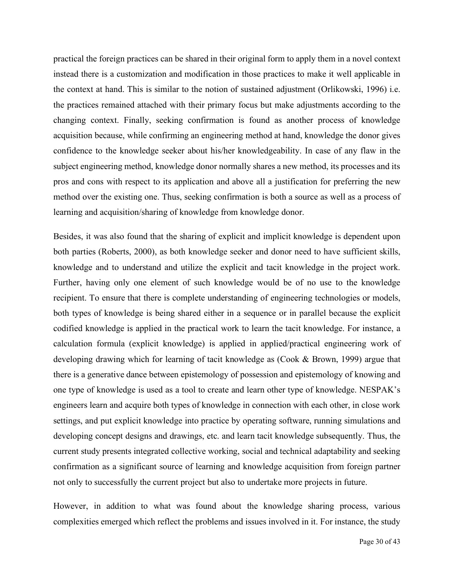practical the foreign practices can be shared in their original form to apply them in a novel context instead there is a customization and modification in those practices to make it well applicable in the context at hand. This is similar to the notion of sustained adjustment (Orlikowski, 1996) i.e. the practices remained attached with their primary focus but make adjustments according to the changing context. Finally, seeking confirmation is found as another process of knowledge acquisition because, while confirming an engineering method at hand, knowledge the donor gives confidence to the knowledge seeker about his/her knowledgeability. In case of any flaw in the subject engineering method, knowledge donor normally shares a new method, its processes and its pros and cons with respect to its application and above all a justification for preferring the new method over the existing one. Thus, seeking confirmation is both a source as well as a process of learning and acquisition/sharing of knowledge from knowledge donor.

Besides, it was also found that the sharing of explicit and implicit knowledge is dependent upon both parties (Roberts, 2000), as both knowledge seeker and donor need to have sufficient skills, knowledge and to understand and utilize the explicit and tacit knowledge in the project work. Further, having only one element of such knowledge would be of no use to the knowledge recipient. To ensure that there is complete understanding of engineering technologies or models, both types of knowledge is being shared either in a sequence or in parallel because the explicit codified knowledge is applied in the practical work to learn the tacit knowledge. For instance, a calculation formula (explicit knowledge) is applied in applied/practical engineering work of developing drawing which for learning of tacit knowledge as (Cook & Brown, 1999) argue that there is a generative dance between epistemology of possession and epistemology of knowing and one type of knowledge is used as a tool to create and learn other type of knowledge. NESPAK's engineers learn and acquire both types of knowledge in connection with each other, in close work settings, and put explicit knowledge into practice by operating software, running simulations and developing concept designs and drawings, etc. and learn tacit knowledge subsequently. Thus, the current study presents integrated collective working, social and technical adaptability and seeking confirmation as a significant source of learning and knowledge acquisition from foreign partner not only to successfully the current project but also to undertake more projects in future.

However, in addition to what was found about the knowledge sharing process, various complexities emerged which reflect the problems and issues involved in it. For instance, the study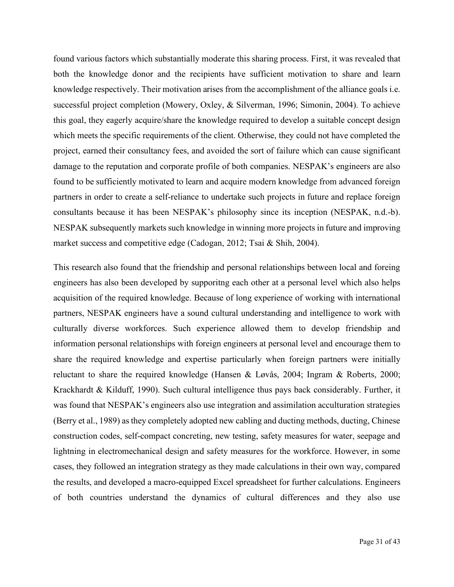found various factors which substantially moderate this sharing process. First, it was revealed that both the knowledge donor and the recipients have sufficient motivation to share and learn knowledge respectively. Their motivation arises from the accomplishment of the alliance goals i.e. successful project completion (Mowery, Oxley, & Silverman, 1996; Simonin, 2004). To achieve this goal, they eagerly acquire/share the knowledge required to develop a suitable concept design which meets the specific requirements of the client. Otherwise, they could not have completed the project, earned their consultancy fees, and avoided the sort of failure which can cause significant damage to the reputation and corporate profile of both companies. NESPAK's engineers are also found to be sufficiently motivated to learn and acquire modern knowledge from advanced foreign partners in order to create a self-reliance to undertake such projects in future and replace foreign consultants because it has been NESPAK's philosophy since its inception (NESPAK, n.d.-b). NESPAK subsequently markets such knowledge in winning more projects in future and improving market success and competitive edge (Cadogan, 2012; Tsai & Shih, 2004).

This research also found that the friendship and personal relationships between local and foreing engineers has also been developed by supporitng each other at a personal level which also helps acquisition of the required knowledge. Because of long experience of working with international partners, NESPAK engineers have a sound cultural understanding and intelligence to work with culturally diverse workforces. Such experience allowed them to develop friendship and information personal relationships with foreign engineers at personal level and encourage them to share the required knowledge and expertise particularly when foreign partners were initially reluctant to share the required knowledge (Hansen & Løvås, 2004; Ingram & Roberts, 2000; Krackhardt & Kilduff, 1990). Such cultural intelligence thus pays back considerably. Further, it was found that NESPAK's engineers also use integration and assimilation acculturation strategies (Berry et al., 1989) as they completely adopted new cabling and ducting methods, ducting, Chinese construction codes, self-compact concreting, new testing, safety measures for water, seepage and lightning in electromechanical design and safety measures for the workforce. However, in some cases, they followed an integration strategy as they made calculations in their own way, compared the results, and developed a macro-equipped Excel spreadsheet for further calculations. Engineers of both countries understand the dynamics of cultural differences and they also use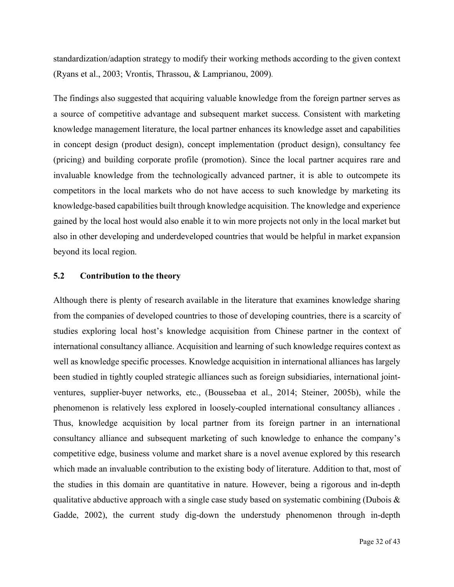standardization/adaption strategy to modify their working methods according to the given context (Ryans et al., 2003; Vrontis, Thrassou, & Lamprianou, 2009).

The findings also suggested that acquiring valuable knowledge from the foreign partner serves as a source of competitive advantage and subsequent market success. Consistent with marketing knowledge management literature, the local partner enhances its knowledge asset and capabilities in concept design (product design), concept implementation (product design), consultancy fee (pricing) and building corporate profile (promotion). Since the local partner acquires rare and invaluable knowledge from the technologically advanced partner, it is able to outcompete its competitors in the local markets who do not have access to such knowledge by marketing its knowledge-based capabilities built through knowledge acquisition. The knowledge and experience gained by the local host would also enable it to win more projects not only in the local market but also in other developing and underdeveloped countries that would be helpful in market expansion beyond its local region.

#### **5.2 Contribution to the theory**

Although there is plenty of research available in the literature that examines knowledge sharing from the companies of developed countries to those of developing countries, there is a scarcity of studies exploring local host's knowledge acquisition from Chinese partner in the context of international consultancy alliance. Acquisition and learning of such knowledge requires context as well as knowledge specific processes. Knowledge acquisition in international alliances has largely been studied in tightly coupled strategic alliances such as foreign subsidiaries, international jointventures, supplier-buyer networks, etc., (Boussebaa et al., 2014; Steiner, 2005b), while the phenomenon is relatively less explored in loosely-coupled international consultancy alliances . Thus, knowledge acquisition by local partner from its foreign partner in an international consultancy alliance and subsequent marketing of such knowledge to enhance the company's competitive edge, business volume and market share is a novel avenue explored by this research which made an invaluable contribution to the existing body of literature. Addition to that, most of the studies in this domain are quantitative in nature. However, being a rigorous and in-depth qualitative abductive approach with a single case study based on systematic combining (Dubois  $\&$ Gadde, 2002), the current study dig-down the understudy phenomenon through in-depth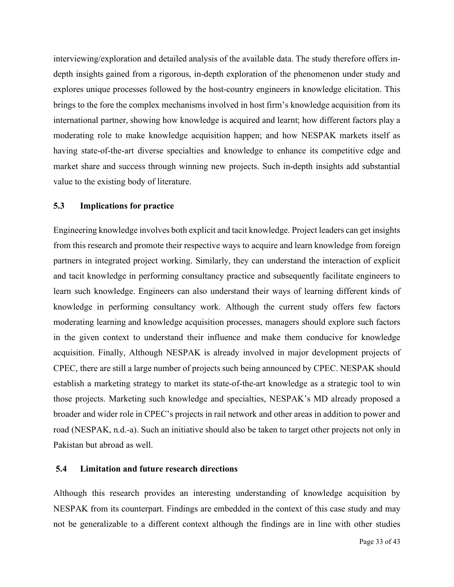interviewing/exploration and detailed analysis of the available data. The study therefore offers indepth insights gained from a rigorous, in-depth exploration of the phenomenon under study and explores unique processes followed by the host-country engineers in knowledge elicitation. This brings to the fore the complex mechanisms involved in host firm's knowledge acquisition from its international partner, showing how knowledge is acquired and learnt; how different factors play a moderating role to make knowledge acquisition happen; and how NESPAK markets itself as having state-of-the-art diverse specialties and knowledge to enhance its competitive edge and market share and success through winning new projects. Such in-depth insights add substantial value to the existing body of literature.

#### **5.3 Implications for practice**

Engineering knowledge involves both explicit and tacit knowledge. Project leaders can get insights from this research and promote their respective ways to acquire and learn knowledge from foreign partners in integrated project working. Similarly, they can understand the interaction of explicit and tacit knowledge in performing consultancy practice and subsequently facilitate engineers to learn such knowledge. Engineers can also understand their ways of learning different kinds of knowledge in performing consultancy work. Although the current study offers few factors moderating learning and knowledge acquisition processes, managers should explore such factors in the given context to understand their influence and make them conducive for knowledge acquisition. Finally, Although NESPAK is already involved in major development projects of CPEC, there are still a large number of projects such being announced by CPEC. NESPAK should establish a marketing strategy to market its state-of-the-art knowledge as a strategic tool to win those projects. Marketing such knowledge and specialties, NESPAK's MD already proposed a broader and wider role in CPEC's projects in rail network and other areas in addition to power and road (NESPAK, n.d.-a). Such an initiative should also be taken to target other projects not only in Pakistan but abroad as well.

#### **5.4 Limitation and future research directions**

Although this research provides an interesting understanding of knowledge acquisition by NESPAK from its counterpart. Findings are embedded in the context of this case study and may not be generalizable to a different context although the findings are in line with other studies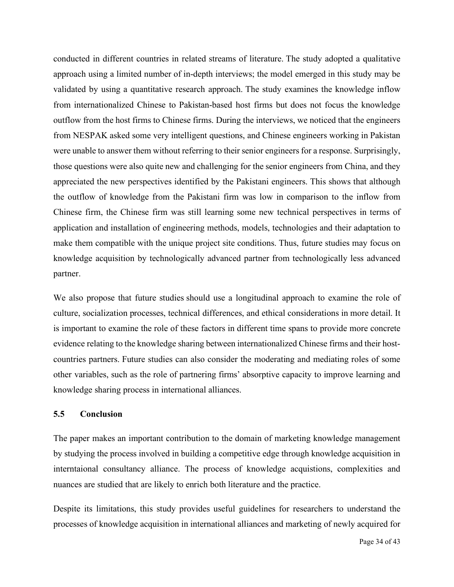conducted in different countries in related streams of literature. The study adopted a qualitative approach using a limited number of in-depth interviews; the model emerged in this study may be validated by using a quantitative research approach. The study examines the knowledge inflow from internationalized Chinese to Pakistan-based host firms but does not focus the knowledge outflow from the host firms to Chinese firms. During the interviews, we noticed that the engineers from NESPAK asked some very intelligent questions, and Chinese engineers working in Pakistan were unable to answer them without referring to their senior engineers for a response. Surprisingly, those questions were also quite new and challenging for the senior engineers from China, and they appreciated the new perspectives identified by the Pakistani engineers. This shows that although the outflow of knowledge from the Pakistani firm was low in comparison to the inflow from Chinese firm, the Chinese firm was still learning some new technical perspectives in terms of application and installation of engineering methods, models, technologies and their adaptation to make them compatible with the unique project site conditions. Thus, future studies may focus on knowledge acquisition by technologically advanced partner from technologically less advanced partner.

We also propose that future studies should use a longitudinal approach to examine the role of culture, socialization processes, technical differences, and ethical considerations in more detail. It is important to examine the role of these factors in different time spans to provide more concrete evidence relating to the knowledge sharing between internationalized Chinese firms and their hostcountries partners. Future studies can also consider the moderating and mediating roles of some other variables, such as the role of partnering firms' absorptive capacity to improve learning and knowledge sharing process in international alliances.

#### **5.5 Conclusion**

The paper makes an important contribution to the domain of marketing knowledge management by studying the process involved in building a competitive edge through knowledge acquisition in interntaional consultancy alliance. The process of knowledge acquistions, complexities and nuances are studied that are likely to enrich both literature and the practice.

Despite its limitations, this study provides useful guidelines for researchers to understand the processes of knowledge acquisition in international alliances and marketing of newly acquired for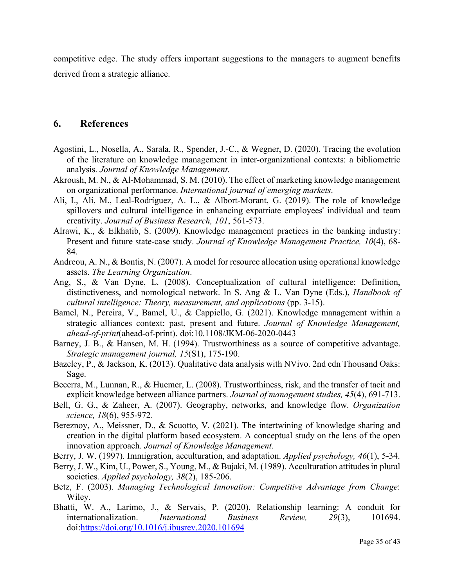competitive edge. The study offers important suggestions to the managers to augment benefits derived from a strategic alliance.

# **6. References**

- Agostini, L., Nosella, A., Sarala, R., Spender, J.-C., & Wegner, D. (2020). Tracing the evolution of the literature on knowledge management in inter-organizational contexts: a bibliometric analysis. *Journal of Knowledge Management*.
- Akroush, M. N., & Al-Mohammad, S. M. (2010). The effect of marketing knowledge management on organizational performance. *International journal of emerging markets*.
- Ali, I., Ali, M., Leal-Rodríguez, A. L., & Albort-Morant, G. (2019). The role of knowledge spillovers and cultural intelligence in enhancing expatriate employees' individual and team creativity. *Journal of Business Research, 101*, 561-573.
- Alrawi, K., & Elkhatib, S. (2009). Knowledge management practices in the banking industry: Present and future state-case study. *Journal of Knowledge Management Practice, 10*(4), 68- 84.
- Andreou, A. N., & Bontis, N. (2007). A model for resource allocation using operational knowledge assets. *The Learning Organization*.
- Ang, S., & Van Dyne, L. (2008). Conceptualization of cultural intelligence: Definition, distinctiveness, and nomological network. In S. Ang & L. Van Dyne (Eds.), *Handbook of cultural intelligence: Theory, measurement, and applications* (pp. 3-15).
- Bamel, N., Pereira, V., Bamel, U., & Cappiello, G. (2021). Knowledge management within a strategic alliances context: past, present and future. *Journal of Knowledge Management, ahead-of-print*(ahead-of-print). doi:10.1108/JKM-06-2020-0443
- Barney, J. B., & Hansen, M. H. (1994). Trustworthiness as a source of competitive advantage. *Strategic management journal, 15*(S1), 175-190.
- Bazeley, P., & Jackson, K. (2013). Qualitative data analysis with NVivo. 2nd edn Thousand Oaks: Sage.
- Becerra, M., Lunnan, R., & Huemer, L. (2008). Trustworthiness, risk, and the transfer of tacit and explicit knowledge between alliance partners. *Journal of management studies, 45*(4), 691-713.
- Bell, G. G., & Zaheer, A. (2007). Geography, networks, and knowledge flow. *Organization science, 18*(6), 955-972.
- Bereznoy, A., Meissner, D., & Scuotto, V. (2021). The intertwining of knowledge sharing and creation in the digital platform based ecosystem. A conceptual study on the lens of the open innovation approach. *Journal of Knowledge Management*.
- Berry, J. W. (1997). Immigration, acculturation, and adaptation. *Applied psychology, 46*(1), 5-34.
- Berry, J. W., Kim, U., Power, S., Young, M., & Bujaki, M. (1989). Acculturation attitudes in plural societies. *Applied psychology, 38*(2), 185-206.
- Betz, F. (2003). *Managing Technological Innovation: Competitive Advantage from Change*: Wiley.
- Bhatti, W. A., Larimo, J., & Servais, P. (2020). Relationship learning: A conduit for internationalization. *International Business Review, 29*(3), 101694. doi[:https://doi.org/10.1016/j.ibusrev.2020.101694](https://doi.org/10.1016/j.ibusrev.2020.101694)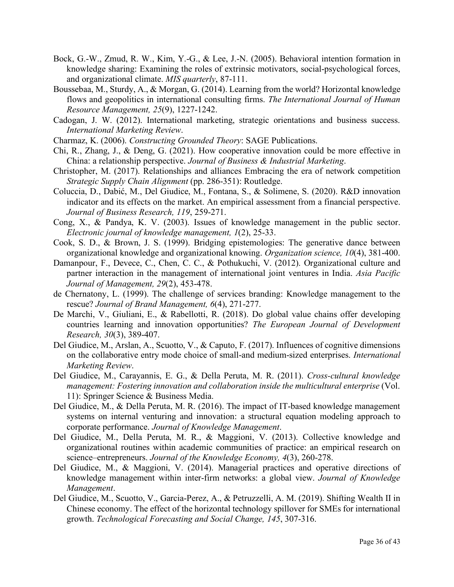- Bock, G.-W., Zmud, R. W., Kim, Y.-G., & Lee, J.-N. (2005). Behavioral intention formation in knowledge sharing: Examining the roles of extrinsic motivators, social-psychological forces, and organizational climate. *MIS quarterly*, 87-111.
- Boussebaa, M., Sturdy, A., & Morgan, G. (2014). Learning from the world? Horizontal knowledge flows and geopolitics in international consulting firms. *The International Journal of Human Resource Management, 25*(9), 1227-1242.
- Cadogan, J. W. (2012). International marketing, strategic orientations and business success. *International Marketing Review*.
- Charmaz, K. (2006). *Constructing Grounded Theory*: SAGE Publications.
- Chi, R., Zhang, J., & Deng, G. (2021). How cooperative innovation could be more effective in China: a relationship perspective. *Journal of Business & Industrial Marketing*.
- Christopher, M. (2017). Relationships and alliances Embracing the era of network competition *Strategic Supply Chain Alignment* (pp. 286-351): Routledge.
- Coluccia, D., Dabić, M., Del Giudice, M., Fontana, S., & Solimene, S. (2020). R&D innovation indicator and its effects on the market. An empirical assessment from a financial perspective. *Journal of Business Research, 119*, 259-271.
- Cong, X., & Pandya, K. V. (2003). Issues of knowledge management in the public sector. *Electronic journal of knowledge management, 1*(2), 25-33.
- Cook, S. D., & Brown, J. S. (1999). Bridging epistemologies: The generative dance between organizational knowledge and organizational knowing. *Organization science, 10*(4), 381-400.
- Damanpour, F., Devece, C., Chen, C. C., & Pothukuchi, V. (2012). Organizational culture and partner interaction in the management of international joint ventures in India. *Asia Pacific Journal of Management, 29*(2), 453-478.
- de Chernatony, L. (1999). The challenge of services branding: Knowledge management to the rescue? *Journal of Brand Management, 6*(4), 271-277.
- De Marchi, V., Giuliani, E., & Rabellotti, R. (2018). Do global value chains offer developing countries learning and innovation opportunities? *The European Journal of Development Research, 30*(3), 389-407.
- Del Giudice, M., Arslan, A., Scuotto, V., & Caputo, F. (2017). Influences of cognitive dimensions on the collaborative entry mode choice of small-and medium-sized enterprises. *International Marketing Review*.
- Del Giudice, M., Carayannis, E. G., & Della Peruta, M. R. (2011). *Cross-cultural knowledge management: Fostering innovation and collaboration inside the multicultural enterprise* (Vol. 11): Springer Science & Business Media.
- Del Giudice, M., & Della Peruta, M. R. (2016). The impact of IT-based knowledge management systems on internal venturing and innovation: a structural equation modeling approach to corporate performance. *Journal of Knowledge Management*.
- Del Giudice, M., Della Peruta, M. R., & Maggioni, V. (2013). Collective knowledge and organizational routines within academic communities of practice: an empirical research on science–entrepreneurs. *Journal of the Knowledge Economy, 4*(3), 260-278.
- Del Giudice, M., & Maggioni, V. (2014). Managerial practices and operative directions of knowledge management within inter-firm networks: a global view. *Journal of Knowledge Management*.
- Del Giudice, M., Scuotto, V., Garcia-Perez, A., & Petruzzelli, A. M. (2019). Shifting Wealth II in Chinese economy. The effect of the horizontal technology spillover for SMEs for international growth. *Technological Forecasting and Social Change, 145*, 307-316.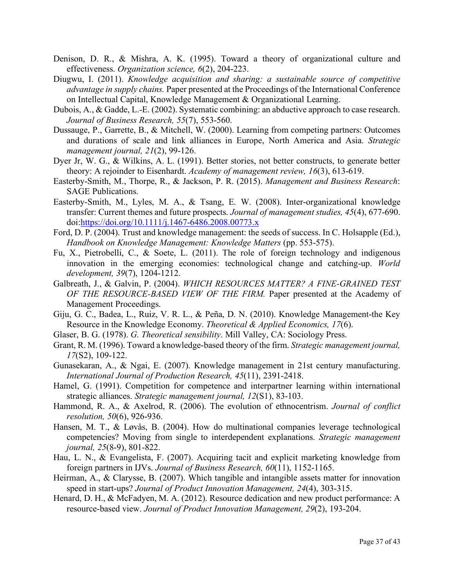- Denison, D. R., & Mishra, A. K. (1995). Toward a theory of organizational culture and effectiveness. *Organization science, 6*(2), 204-223.
- Diugwu, I. (2011). *Knowledge acquisition and sharing: a sustainable source of competitive advantage in supply chains.* Paper presented at the Proceedings of the International Conference on Intellectual Capital, Knowledge Management & Organizational Learning.
- Dubois, A., & Gadde, L.-E. (2002). Systematic combining: an abductive approach to case research. *Journal of Business Research, 55*(7), 553-560.
- Dussauge, P., Garrette, B., & Mitchell, W. (2000). Learning from competing partners: Outcomes and durations of scale and link alliances in Europe, North America and Asia. *Strategic management journal, 21*(2), 99-126.
- Dyer Jr, W. G., & Wilkins, A. L. (1991). Better stories, not better constructs, to generate better theory: A rejoinder to Eisenhardt. *Academy of management review, 16*(3), 613-619.
- Easterby-Smith, M., Thorpe, R., & Jackson, P. R. (2015). *Management and Business Research*: SAGE Publications.
- Easterby‐Smith, M., Lyles, M. A., & Tsang, E. W. (2008). Inter‐organizational knowledge transfer: Current themes and future prospects. *Journal of management studies, 45*(4), 677-690. doi[:https://doi.org/10.1111/j.1467-6486.2008.00773.x](https://doi.org/10.1111/j.1467-6486.2008.00773.x)
- Ford, D. P. (2004). Trust and knowledge management: the seeds of success. In C. Holsapple (Ed.), *Handbook on Knowledge Management: Knowledge Matters* (pp. 553-575).
- Fu, X., Pietrobelli, C., & Soete, L. (2011). The role of foreign technology and indigenous innovation in the emerging economies: technological change and catching-up. *World development, 39*(7), 1204-1212.
- Galbreath, J., & Galvin, P. (2004). *WHICH RESOURCES MATTER? A FINE-GRAINED TEST OF THE RESOURCE-BASED VIEW OF THE FIRM.* Paper presented at the Academy of Management Proceedings.
- Giju, G. C., Badea, L., Ruiz, V. R. L., & Peña, D. N. (2010). Knowledge Management-the Key Resource in the Knowledge Economy. *Theoretical & Applied Economics, 17*(6).
- Glaser, B. G. (1978). *G. Theoretical sensibility*. Mill Valley, CA: Sociology Press.
- Grant, R. M. (1996). Toward a knowledge‐based theory of the firm. *Strategic management journal, 17*(S2), 109-122.
- Gunasekaran, A., & Ngai, E. (2007). Knowledge management in 21st century manufacturing. *International Journal of Production Research, 45*(11), 2391-2418.
- Hamel, G. (1991). Competition for competence and interpartner learning within international strategic alliances. *Strategic management journal, 12*(S1), 83-103.
- Hammond, R. A., & Axelrod, R. (2006). The evolution of ethnocentrism. *Journal of conflict resolution, 50*(6), 926-936.
- Hansen, M. T., & Løvås, B. (2004). How do multinational companies leverage technological competencies? Moving from single to interdependent explanations. *Strategic management journal, 25*(8‐9), 801-822.
- Hau, L. N., & Evangelista, F. (2007). Acquiring tacit and explicit marketing knowledge from foreign partners in IJVs. *Journal of Business Research, 60*(11), 1152-1165.
- Heirman, A., & Clarysse, B. (2007). Which tangible and intangible assets matter for innovation speed in start‐ups? *Journal of Product Innovation Management, 24*(4), 303-315.
- Henard, D. H., & McFadyen, M. A. (2012). Resource dedication and new product performance: A resource‐based view. *Journal of Product Innovation Management, 29*(2), 193-204.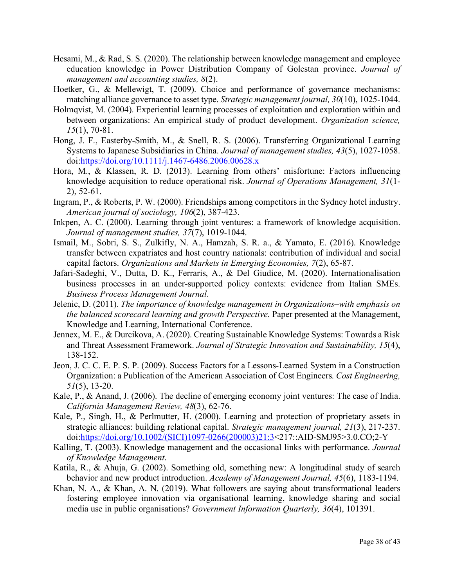- Hesami, M., & Rad, S. S. (2020). The relationship between knowledge management and employee education knowledge in Power Distribution Company of Golestan province. *Journal of management and accounting studies, 8*(2).
- Hoetker, G., & Mellewigt, T. (2009). Choice and performance of governance mechanisms: matching alliance governance to asset type. *Strategic management journal, 30*(10), 1025-1044.
- Holmqvist, M. (2004). Experiential learning processes of exploitation and exploration within and between organizations: An empirical study of product development. *Organization science, 15*(1), 70-81.
- Hong, J. F., Easterby‐Smith, M., & Snell, R. S. (2006). Transferring Organizational Learning Systems to Japanese Subsidiaries in China. *Journal of management studies, 43*(5), 1027-1058. doi[:https://doi.org/10.1111/j.1467-6486.2006.00628.x](https://doi.org/10.1111/j.1467-6486.2006.00628.x)
- Hora, M., & Klassen, R. D. (2013). Learning from others' misfortune: Factors influencing knowledge acquisition to reduce operational risk. *Journal of Operations Management, 31*(1- 2), 52-61.
- Ingram, P., & Roberts, P. W. (2000). Friendships among competitors in the Sydney hotel industry. *American journal of sociology, 106*(2), 387-423.
- Inkpen, A. C. (2000). Learning through joint ventures: a framework of knowledge acquisition. *Journal of management studies, 37*(7), 1019-1044.
- Ismail, M., Sobri, S. S., Zulkifly, N. A., Hamzah, S. R. a., & Yamato, E. (2016). Knowledge transfer between expatriates and host country nationals: contribution of individual and social capital factors. *Organizations and Markets in Emerging Economies, 7*(2), 65-87.
- Jafari-Sadeghi, V., Dutta, D. K., Ferraris, A., & Del Giudice, M. (2020). Internationalisation business processes in an under-supported policy contexts: evidence from Italian SMEs. *Business Process Management Journal*.
- Jelenic, D. (2011). *The importance of knowledge management in Organizations–with emphasis on the balanced scorecard learning and growth Perspective.* Paper presented at the Management, Knowledge and Learning, International Conference.
- Jennex, M. E., & Durcikova, A. (2020). Creating Sustainable Knowledge Systems: Towards a Risk and Threat Assessment Framework. *Journal of Strategic Innovation and Sustainability, 15*(4), 138-152.
- Jeon, J. C. C. E. P. S. P. (2009). Success Factors for a Lessons-Learned System in a Construction Organization: a Publication of the American Association of Cost Engineers. *Cost Engineering, 51*(5), 13-20.
- Kale, P., & Anand, J. (2006). The decline of emerging economy joint ventures: The case of India. *California Management Review, 48*(3), 62-76.
- Kale, P., Singh, H., & Perlmutter, H. (2000). Learning and protection of proprietary assets in strategic alliances: building relational capital. *Strategic management journal, 21*(3), 217-237. doi[:https://doi.org/10.1002/\(SICI\)1097-0266\(200003\)21:3<](https://doi.org/10.1002/(SICI)1097-0266(200003)21:3)217::AID-SMJ95>3.0.CO;2-Y
- Kalling, T. (2003). Knowledge management and the occasional links with performance. *Journal of Knowledge Management*.
- Katila, R., & Ahuja, G. (2002). Something old, something new: A longitudinal study of search behavior and new product introduction. *Academy of Management Journal, 45*(6), 1183-1194.
- Khan, N. A., & Khan, A. N. (2019). What followers are saying about transformational leaders fostering employee innovation via organisational learning, knowledge sharing and social media use in public organisations? *Government Information Quarterly, 36*(4), 101391.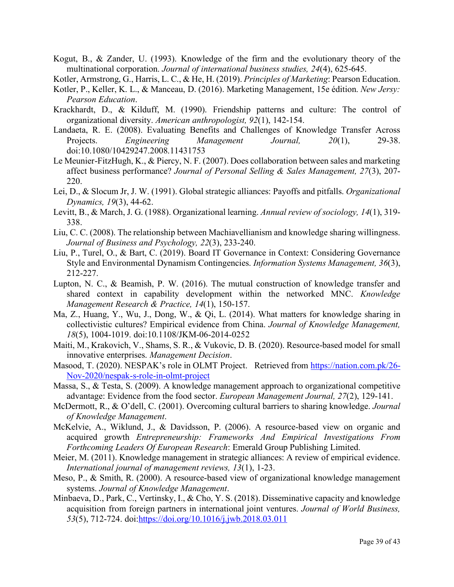Kogut, B., & Zander, U. (1993). Knowledge of the firm and the evolutionary theory of the multinational corporation. *Journal of international business studies, 24*(4), 625-645.

Kotler, Armstrong, G., Harris, L. C., & He, H. (2019). *Principles of Marketing*: Pearson Education.

- Kotler, P., Keller, K. L., & Manceau, D. (2016). Marketing Management, 15e édition. *New Jersy: Pearson Education*.
- Krackhardt, D., & Kilduff, M. (1990). Friendship patterns and culture: The control of organizational diversity. *American anthropologist, 92*(1), 142-154.
- Landaeta, R. E. (2008). Evaluating Benefits and Challenges of Knowledge Transfer Across Projects. *Engineering Management Journal, 20*(1), 29-38. doi:10.1080/10429247.2008.11431753
- Le Meunier-FitzHugh, K., & Piercy, N. F. (2007). Does collaboration between sales and marketing affect business performance? *Journal of Personal Selling & Sales Management, 27*(3), 207- 220.
- Lei, D., & Slocum Jr, J. W. (1991). Global strategic alliances: Payoffs and pitfalls. *Organizational Dynamics, 19*(3), 44-62.
- Levitt, B., & March, J. G. (1988). Organizational learning. *Annual review of sociology, 14*(1), 319- 338.
- Liu, C. C. (2008). The relationship between Machiavellianism and knowledge sharing willingness. *Journal of Business and Psychology, 22*(3), 233-240.
- Liu, P., Turel, O., & Bart, C. (2019). Board IT Governance in Context: Considering Governance Style and Environmental Dynamism Contingencies. *Information Systems Management, 36*(3), 212-227.
- Lupton, N. C., & Beamish, P. W. (2016). The mutual construction of knowledge transfer and shared context in capability development within the networked MNC. *Knowledge Management Research & Practice, 14*(1), 150-157.
- Ma, Z., Huang, Y., Wu, J., Dong, W., & Qi, L. (2014). What matters for knowledge sharing in collectivistic cultures? Empirical evidence from China. *Journal of Knowledge Management, 18*(5), 1004-1019. doi:10.1108/JKM-06-2014-0252
- Maiti, M., Krakovich, V., Shams, S. R., & Vukovic, D. B. (2020). Resource-based model for small innovative enterprises. *Management Decision*.
- Masood, T. (2020). NESPAK's role in OLMT Project. Retrieved from [https://nation.com.pk/26-](https://nation.com.pk/26-Nov-2020/nespak-s-role-in-olmt-project) [Nov-2020/nespak-s-role-in-olmt-project](https://nation.com.pk/26-Nov-2020/nespak-s-role-in-olmt-project)
- Massa, S., & Testa, S. (2009). A knowledge management approach to organizational competitive advantage: Evidence from the food sector. *European Management Journal, 27*(2), 129-141.
- McDermott, R., & O'dell, C. (2001). Overcoming cultural barriers to sharing knowledge. *Journal of Knowledge Management*.
- McKelvie, A., Wiklund, J., & Davidsson, P. (2006). A resource-based view on organic and acquired growth *Entrepreneurship: Frameworks And Empirical Investigations From Forthcoming Leaders Of European Research*: Emerald Group Publishing Limited.
- Meier, M. (2011). Knowledge management in strategic alliances: A review of empirical evidence. *International journal of management reviews, 13*(1), 1-23.
- Meso, P., & Smith, R. (2000). A resource-based view of organizational knowledge management systems. *Journal of Knowledge Management*.
- Minbaeva, D., Park, C., Vertinsky, I., & Cho, Y. S. (2018). Disseminative capacity and knowledge acquisition from foreign partners in international joint ventures. *Journal of World Business, 53*(5), 712-724. doi[:https://doi.org/10.1016/j.jwb.2018.03.011](https://doi.org/10.1016/j.jwb.2018.03.011)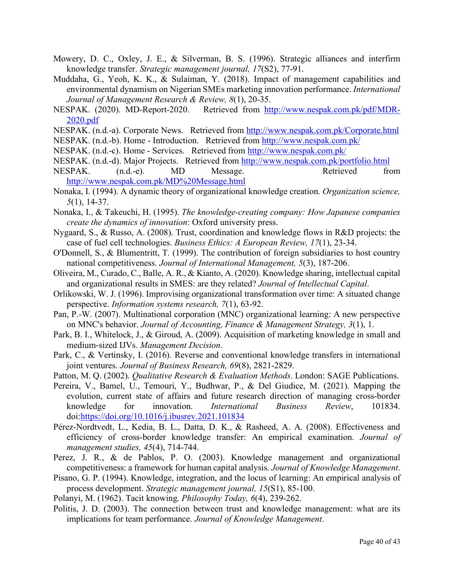- Mowery, D. C., Oxley, J. E., & Silverman, B. S. (1996). Strategic alliances and interfirm knowledge transfer. *Strategic management journal, 17*(S2), 77-91.
- Muddaha, G., Yeoh, K. K., & Sulaiman, Y. (2018). Impact of management capabilities and environmental dynamism on Nigerian SMEs marketing innovation performance. *International Journal of Management Research & Review, 8*(1), 20-35.
- NESPAK. (2020). MD-Report-2020. Retrieved from [http://www.nespak.com.pk/pdf/MDR-](http://www.nespak.com.pk/pdf/MDR-2020.pdf)[2020.pdf](http://www.nespak.com.pk/pdf/MDR-2020.pdf)
- NESPAK. (n.d.-a). Corporate News. Retrieved from<http://www.nespak.com.pk/Corporate.html>
- NESPAK. (n.d.-b). Home Introduction. Retrieved from<http://www.nespak.com.pk/>
- NESPAK. (n.d.-c). Home Services. Retrieved from<http://www.nespak.com.pk/>
- NESPAK. (n.d.-d). Major Projects. Retrieved from<http://www.nespak.com.pk/portfolio.html> NESPAK. (n.d.-e). MD Message. Retrieved from <http://www.nespak.com.pk/MD%20Message.html>
- Nonaka, I. (1994). A dynamic theory of organizational knowledge creation. *Organization science, 5*(1), 14-37.
- Nonaka, I., & Takeuchi, H. (1995). *The knowledge-creating company: How Japanese companies create the dynamics of innovation*: Oxford university press.
- Nygaard, S., & Russo, A. (2008). Trust, coordination and knowledge flows in R&D projects: the case of fuel cell technologies. *Business Ethics: A European Review, 17*(1), 23-34.
- O'Donnell, S., & Blumentritt, T. (1999). The contribution of foreign subsidiaries to host country national competitiveness. *Journal of International Management, 5*(3), 187-206.
- Oliveira, M., Curado, C., Balle, A. R., & Kianto, A. (2020). Knowledge sharing, intellectual capital and organizational results in SMES: are they related? *Journal of Intellectual Capital*.
- Orlikowski, W. J. (1996). Improvising organizational transformation over time: A situated change perspective. *Information systems research, 7*(1), 63-92.
- Pan, P.-W. (2007). Multinational corporation (MNC) organizational learning: A new perspective on MNC's behavior. *Journal of Accounting, Finance & Management Strategy, 3*(1), 1.
- Park, B. I., Whitelock, J., & Giroud, A. (2009). Acquisition of marketing knowledge in small and medium‐sized IJVs. *Management Decision*.
- Park, C., & Vertinsky, I. (2016). Reverse and conventional knowledge transfers in international joint ventures. *Journal of Business Research, 69*(8), 2821-2829.
- Patton, M. Q. (2002). *Qualitative Research & Evaluation Methods*. London: SAGE Publications.
- Pereira, V., Bamel, U., Temouri, Y., Budhwar, P., & Del Giudice, M. (2021). Mapping the evolution, current state of affairs and future research direction of managing cross-border knowledge for innovation. *International Business Review*, 101834. doi[:https://doi.org/10.1016/j.ibusrev.2021.101834](https://doi.org/10.1016/j.ibusrev.2021.101834)
- Pérez‐Nordtvedt, L., Kedia, B. L., Datta, D. K., & Rasheed, A. A. (2008). Effectiveness and efficiency of cross‐border knowledge transfer: An empirical examination. *Journal of management studies, 45*(4), 714-744.
- Perez, J. R., & de Pablos, P. O. (2003). Knowledge management and organizational competitiveness: a framework for human capital analysis. *Journal of Knowledge Management*.
- Pisano, G. P. (1994). Knowledge, integration, and the locus of learning: An empirical analysis of process development. *Strategic management journal, 15*(S1), 85-100.
- Polanyi, M. (1962). Tacit knowing. *Philosophy Today, 6*(4), 239-262.
- Politis, J. D. (2003). The connection between trust and knowledge management: what are its implications for team performance. *Journal of Knowledge Management*.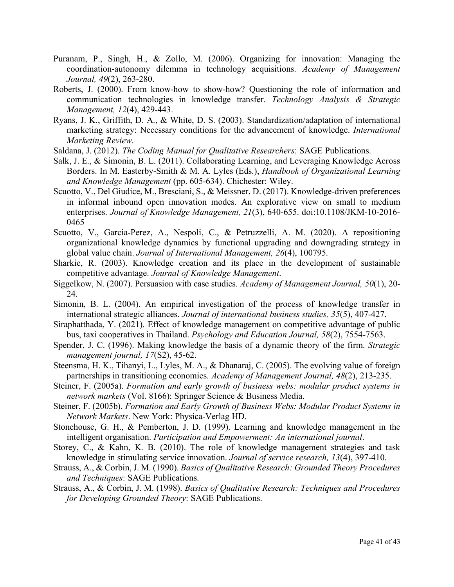- Puranam, P., Singh, H., & Zollo, M. (2006). Organizing for innovation: Managing the coordination-autonomy dilemma in technology acquisitions. *Academy of Management Journal, 49*(2), 263-280.
- Roberts, J. (2000). From know-how to show-how? Questioning the role of information and communication technologies in knowledge transfer. *Technology Analysis & Strategic Management, 12*(4), 429-443.
- Ryans, J. K., Griffith, D. A., & White, D. S. (2003). Standardization/adaptation of international marketing strategy: Necessary conditions for the advancement of knowledge. *International Marketing Review*.
- Saldana, J. (2012). *The Coding Manual for Qualitative Researchers*: SAGE Publications.
- Salk, J. E., & Simonin, B. L. (2011). Collaborating Learning, and Leveraging Knowledge Across Borders. In M. Easterby-Smith & M. A. Lyles (Eds.), *Handbook of Organizational Learning and Knowledge Management* (pp. 605-634). Chichester: Wiley.
- Scuotto, V., Del Giudice, M., Bresciani, S., & Meissner, D. (2017). Knowledge-driven preferences in informal inbound open innovation modes. An explorative view on small to medium enterprises. *Journal of Knowledge Management, 21*(3), 640-655. doi:10.1108/JKM-10-2016- 0465
- Scuotto, V., Garcia-Perez, A., Nespoli, C., & Petruzzelli, A. M. (2020). A repositioning organizational knowledge dynamics by functional upgrading and downgrading strategy in global value chain. *Journal of International Management, 26*(4), 100795.
- Sharkie, R. (2003). Knowledge creation and its place in the development of sustainable competitive advantage. *Journal of Knowledge Management*.
- Siggelkow, N. (2007). Persuasion with case studies. *Academy of Management Journal, 50*(1), 20- 24.
- Simonin, B. L. (2004). An empirical investigation of the process of knowledge transfer in international strategic alliances. *Journal of international business studies, 35*(5), 407-427.
- Siraphatthada, Y. (2021). Effect of knowledge management on competitive advantage of public bus, taxi cooperatives in Thailand. *Psychology and Education Journal, 58*(2), 7554-7563.
- Spender, J. C. (1996). Making knowledge the basis of a dynamic theory of the firm. *Strategic management journal, 17*(S2), 45-62.
- Steensma, H. K., Tihanyi, L., Lyles, M. A., & Dhanaraj, C. (2005). The evolving value of foreign partnerships in transitioning economies. *Academy of Management Journal, 48*(2), 213-235.
- Steiner, F. (2005a). *Formation and early growth of business webs: modular product systems in network markets* (Vol. 8166): Springer Science & Business Media.
- Steiner, F. (2005b). *Formation and Early Growth of Business Webs: Modular Product Systems in Network Markets*. New York: Physica-Verlag HD.
- Stonehouse, G. H., & Pemberton, J. D. (1999). Learning and knowledge management in the intelligent organisation. *Participation and Empowerment: An international journal*.
- Storey, C., & Kahn, K. B. (2010). The role of knowledge management strategies and task knowledge in stimulating service innovation. *Journal of service research, 13*(4), 397-410.
- Strauss, A., & Corbin, J. M. (1990). *Basics of Qualitative Research: Grounded Theory Procedures and Techniques*: SAGE Publications.
- Strauss, A., & Corbin, J. M. (1998). *Basics of Qualitative Research: Techniques and Procedures for Developing Grounded Theory*: SAGE Publications.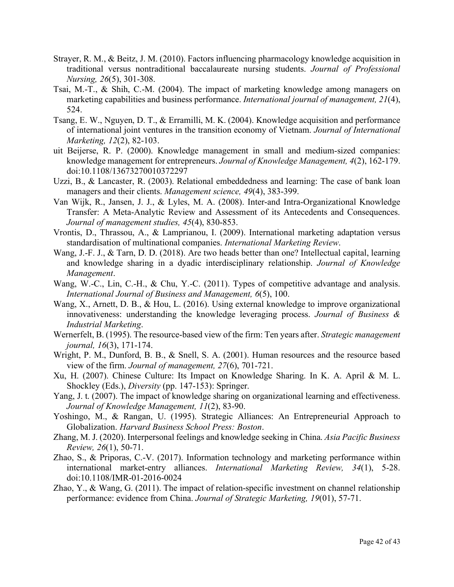- Strayer, R. M., & Beitz, J. M. (2010). Factors influencing pharmacology knowledge acquisition in traditional versus nontraditional baccalaureate nursing students. *Journal of Professional Nursing, 26*(5), 301-308.
- Tsai, M.-T., & Shih, C.-M. (2004). The impact of marketing knowledge among managers on marketing capabilities and business performance. *International journal of management, 21*(4), 524.
- Tsang, E. W., Nguyen, D. T., & Erramilli, M. K. (2004). Knowledge acquisition and performance of international joint ventures in the transition economy of Vietnam. *Journal of International Marketing, 12*(2), 82-103.
- uit Beijerse, R. P. (2000). Knowledge management in small and medium‐sized companies: knowledge management for entrepreneurs. *Journal of Knowledge Management, 4*(2), 162-179. doi:10.1108/13673270010372297
- Uzzi, B., & Lancaster, R. (2003). Relational embeddedness and learning: The case of bank loan managers and their clients. *Management science, 49*(4), 383-399.
- Van Wijk, R., Jansen, J. J., & Lyles, M. A. (2008). Inter‐and Intra‐Organizational Knowledge Transfer: A Meta‐Analytic Review and Assessment of its Antecedents and Consequences. *Journal of management studies, 45*(4), 830-853.
- Vrontis, D., Thrassou, A., & Lamprianou, I. (2009). International marketing adaptation versus standardisation of multinational companies. *International Marketing Review*.
- Wang, J.-F. J., & Tarn, D. D. (2018). Are two heads better than one? Intellectual capital, learning and knowledge sharing in a dyadic interdisciplinary relationship. *Journal of Knowledge Management*.
- Wang, W.-C., Lin, C.-H., & Chu, Y.-C. (2011). Types of competitive advantage and analysis. *International Journal of Business and Management, 6*(5), 100.
- Wang, X., Arnett, D. B., & Hou, L. (2016). Using external knowledge to improve organizational innovativeness: understanding the knowledge leveraging process. *Journal of Business & Industrial Marketing*.
- Wernerfelt, B. (1995). The resource‐based view of the firm: Ten years after. *Strategic management journal, 16*(3), 171-174.
- Wright, P. M., Dunford, B. B., & Snell, S. A. (2001). Human resources and the resource based view of the firm. *Journal of management, 27*(6), 701-721.
- Xu, H. (2007). Chinese Culture: Its Impact on Knowledge Sharing. In K. A. April & M. L. Shockley (Eds.), *Diversity* (pp. 147-153): Springer.
- Yang, J. t. (2007). The impact of knowledge sharing on organizational learning and effectiveness. *Journal of Knowledge Management, 11*(2), 83-90.
- Yoshingo, M., & Rangan, U. (1995). Strategic Alliances: An Entrepreneurial Approach to Globalization. *Harvard Business School Press: Boston*.
- Zhang, M. J. (2020). Interpersonal feelings and knowledge seeking in China. *Asia Pacific Business Review, 26*(1), 50-71.
- Zhao, S., & Priporas, C.-V. (2017). Information technology and marketing performance within international market-entry alliances. *International Marketing Review, 34*(1), 5-28. doi:10.1108/IMR-01-2016-0024
- Zhao, Y., & Wang, G. (2011). The impact of relation-specific investment on channel relationship performance: evidence from China. *Journal of Strategic Marketing, 19*(01), 57-71.